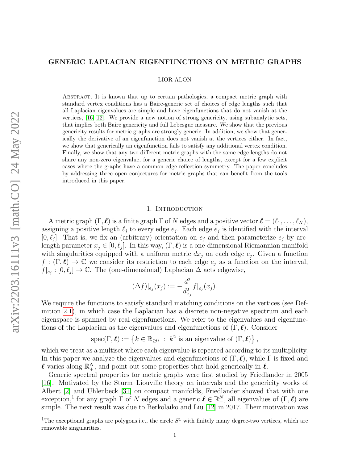# <span id="page-0-1"></span>GENERIC LAPLACIAN EIGENFUNCTIONS ON METRIC GRAPHS

#### LIOR ALON

Abstract. It is known that up to certain pathologies, a compact metric graph with standard vertex conditions has a Baire-generic set of choices of edge lengths such that all Laplacian eigenvalues are simple and have eigenfunctions that do not vanish at the vertices, [\[16,](#page-34-0) [12\]](#page-34-1). We provide a new notion of strong genericity, using subanalytic sets, that implies both Baire genericity and full Lebesgue measure. We show that the previous genericity results for metric graphs are strongly generic. In addition, we show that generically the derivative of an eigenfunction does not vanish at the vertices either. In fact, we show that generically an eigenfunction fails to satisfy any additional vertex condition. Finally, we show that any two different metric graphs with the same edge lengths do not share any non-zero eigenvalue, for a generic choice of lengths, except for a few explicit cases where the graphs have a common edge-reflection symmetry. The paper concludes by addressing three open conjectures for metric graphs that can benefit from the tools introduced in this paper.

### 1. INTRODUCTION

<span id="page-0-0"></span>A metric graph  $(\Gamma, \ell)$  is a finite graph  $\Gamma$  of N edges and a positive vector  $\ell = (\ell_1, \ldots, \ell_N)$ , assigning a positive length  $\ell_j$  to every edge  $e_j$ . Each edge  $e_j$  is identified with the interval  $[0, \ell_j]$ . That is, we fix an (arbitrary) orientation on  $e_j$  and then parameterize  $e_j$  by arclength parameter  $x_j \in [0, \ell_j]$ . In this way,  $(\Gamma, \ell)$  is a one-dimensional Riemannian manifold with singularities equipped with a uniform metric  $dx_j$  on each edge  $e_j$ . Given a function  $f : (\Gamma, \ell) \to \mathbb{C}$  we consider its restriction to each edge  $e_j$  as a function on the interval,  $f|_{e_j} : [0, \ell_j] \to \mathbb{C}$ . The (one-dimensional) Laplacian  $\Delta$  acts edgewise,

$$
(\Delta f)|_{e_j}(x_j) := -\frac{d^2}{d_{x_j}^2} f|_{e_j}(x_j).
$$

We require the functions to satisfy standard matching conditions on the vertices (see Definition [2.1\)](#page-4-0), in which case the Laplacian has a discrete non-negative spectrum and each eigenspace is spanned by real eigenfunctions. We refer to the eigenvalues and eigenfunctions of the Laplacian as the eigenvalues and eigenfunctions of  $(\Gamma, \ell)$ . Consider

spec
$$
(\Gamma, \ell) := \{ k \in \mathbb{R}_{\geq 0} : k^2 \text{ is an eigenvalue of } (\Gamma, \ell) \},
$$

which we treat as a multiset where each eigenvalue is repeated according to its multiplicity. In this paper we analyze the eigenvalues and eigenfunctions of  $(\Gamma, \ell)$ , while  $\Gamma$  is fixed and  $\ell$  varies along  $\mathbb{R}^N_+$ , and point out some properties that hold generically in  $\ell$ .

Generic spectral properties for metric graphs were first studied by Friedlander in 2005 [\[16\]](#page-34-0). Motivated by the Sturm–Liouville theory on intervals and the genericity works of Albert [\[2\]](#page-34-2) and Uhlenbeck [\[31\]](#page-35-0) on compact manifolds, Friedlander showed that with one exception,<sup>1</sup> for any graph  $\Gamma$  of N edges and a generic  $\ell \in \mathbb{R}^N_+$ , all eigenvalues of  $(\Gamma, \ell)$  are simple. The next result was due to Berkolaiko and Liu [\[12\]](#page-34-1) in 2017. Their motivation was

<sup>&</sup>lt;sup>1</sup>The exceptional graphs are polygons, i.e., the circle  $S<sup>1</sup>$  with finitely many degree-two vertices, which are removable singularities.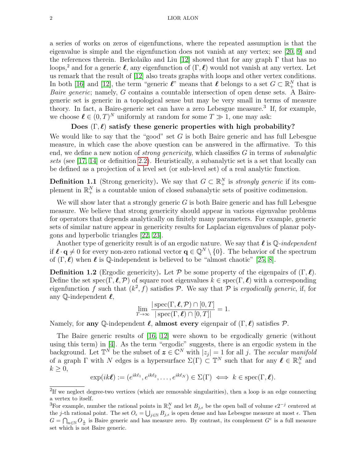a series of works on zeros of eigenfunctions, where the repeated assumption is that the eigenvalue is simple and the eigenfunction does not vanish at any vertex; see [\[20,](#page-34-3) [9\]](#page-34-4) and the references therein. Berkolaiko and Liu [\[12\]](#page-34-1) showed that for any graph  $\Gamma$  that has no loops,<sup>2</sup> and for a generic  $\ell$ , any eigenfunction of  $(\Gamma, \ell)$  would not vanish at any vertex. Let us remark that the result of [\[12\]](#page-34-1) also treats graphs with loops and other vertex conditions. In both [\[16\]](#page-34-0) and [\[12\]](#page-34-1), the term "generic  $\ell$ " means that  $\ell$  belongs to a set  $G \subset \mathbb{R}^N_+$  that is Baire generic; namely, G contains a countable intersection of open dense sets. A Bairegeneric set is generic in a topological sense but may be very small in terms of measure theory. In fact, a Baire-generic set can have a zero Lebesgue measure.<sup>3</sup> If, for example, we choose  $\ell \in (0,T)^N$  uniformly at random for some  $T \gg 1$ , one may ask:

## Does  $(\Gamma, \ell)$  satisfy these generic properties with high probability?

We would like to say that the "good" set  $G$  is both Baire generic and has full Lebesgue measure, in which case the above question can be answered in the affirmative. To this end, we define a new notion of *strong genericity*, which classifies  $G$  in terms of *subanalytic* sets (see [\[17,](#page-34-5) [14\]](#page-34-6) or definition [2.2\)](#page-6-0). Heuristically, a subanalytic set is a set that locally can be defined as a projection of a level set (or sub-level set) of a real analytic function.

<span id="page-1-1"></span>**Definition 1.1** (Strong genericity). We say that  $G \subset \mathbb{R}^N_+$  is *strongly generic* if its complement in  $\mathbb{R}^N_+$  is a countable union of closed subanalytic sets of positive codimension.

We will show later that a strongly generic  $G$  is both Baire generic and has full Lebesgue measure. We believe that strong genericity should appear in various eigenvalue problems for operators that depends analytically on finitely many parameters. For example, generic sets of similar nature appear in genericity results for Laplacian eigenvalues of planar polygons and hyperbolic triangles [\[22,](#page-34-7) [23\]](#page-34-8).

Another type of genericity result is of an ergodic nature. We say that  $\ell$  is Q-independent if  $\ell \cdot q \neq 0$  for every non-zero rational vector  $q \in \mathbb{Q}^N \setminus \{0\}$ . The behavior of the spectrum of  $(\Gamma, \ell)$  when  $\ell$  is  $\mathbb Q$ -independent is believed to be "almost chaotic" [\[25,](#page-34-9) [8\]](#page-34-10).

<span id="page-1-0"></span>**Definition 1.2** (Ergodic genericity). Let P be some property of the eigenpairs of  $(\Gamma, \ell)$ . Define the set spec(Γ,  $\ell$ , P) of square root eigenvalues  $k \in \text{spec}(\Gamma, \ell)$  with a corresponding eigenfunction f such that  $(k^2, f)$  satisfies P. We say that P is ergodically generic, if, for any  $\mathbb{O}\text{-independent } \ell,$ 

$$
\lim_{T \to \infty} \frac{|\operatorname{spec}(\Gamma, \ell, \mathcal{P}) \cap [0, T]|}{|\operatorname{spec}(\Gamma, \ell) \cap [0, T]|} = 1.
$$

Namely, for any Q-independent  $\ell$ , almost every eigenpair of  $(\Gamma, \ell)$  satisfies P.

The Baire generic results of [\[16,](#page-34-0) [12\]](#page-34-1) were shown to be ergodically generic (without using this term) in [\[4\]](#page-34-11). As the term "ergodic" suggests, there is an ergodic system in the background. Let  $\mathbb{T}^N$  be the subset of  $\boldsymbol{z} \in \mathbb{C}^N$  with  $|z_j|=1$  for all j. The secular manifold of a graph  $\Gamma$  with N edges is a hypersurface  $\Sigma(\Gamma) \subset \mathbb{T}^N$  such that for any  $\ell \in \mathbb{R}^N_+$  and  $k \geq 0$ ,

$$
\exp(ik\boldsymbol{\ell}) := (e^{ik\ell_1}, e^{ik\ell_2}, \dots, e^{ik\ell_N}) \in \Sigma(\Gamma) \iff k \in \operatorname{spec}(\Gamma, \boldsymbol{\ell}).
$$

<sup>&</sup>lt;sup>2</sup>If we neglect degree-two vertices (which are removable singularities), then a loop is an edge connecting a vertex to itself.

<sup>&</sup>lt;sup>3</sup>For example, number the rational points in  $\mathbb{R}^N_+$  and let  $B_{j,\epsilon}$  be the open ball of volume  $\epsilon 2^{-j}$  centered at the j-th rational point. The set  $O_{\epsilon} = \bigcup_{j \in \mathbb{N}} B_{j,\epsilon}$  is open dense and has Lebesgue measure at most  $\epsilon$ . Then  $G = \bigcap_{n\in\mathbb{N}} O_{\frac{1}{n}}$  is Baire generic and has measure zero. By contrast, its complement  $G^c$  is a full measure set which is not Baire generic.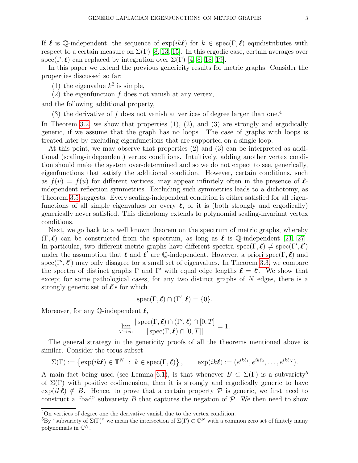If  $\ell$  is Q-independent, the sequence of  $\exp(ik\ell)$  for  $k \in \text{spec}(\Gamma, \ell)$  equidistributes with respect to a certain measure on  $\Sigma(\Gamma)$  [\[8,](#page-34-10) [13,](#page-34-12) [15\]](#page-34-13). In this ergodic case, certain averages over spec(Γ,  $\ell$ ) can replaced by integration over  $\Sigma(\Gamma)$  [\[4,](#page-34-11) [8,](#page-34-10) [18,](#page-34-14) [19\]](#page-34-15).

In this paper we extend the previous genericity results for metric graphs. Consider the properties discussed so far:

- (1) the eigenvalue  $k^2$  is simple,
- <span id="page-2-0"></span> $(2)$  the eigenfunction f does not vanish at any vertex,

and the following additional property,

(3) the derivative of f does not vanish at vertices of degree larger than one.<sup>4</sup>

In Theorem [3.2,](#page-7-0) we show that properties  $(1), (2),$  and  $(3)$  are strongly and ergodically generic, if we assume that the graph has no loops. The case of graphs with loops is treated later by excluding eigenfunctions that are supported on a single loop.

At this point, we may observe that properties (2) and (3) can be interpreted as additional (scaling-independent) vertex conditions. Intuitively, adding another vertex condition should make the system over-determined and so we do not expect to see, generically, eigenfunctions that satisfy the additional condition. However, certain conditions, such as  $f(v) = f(u)$  for different vertices, may appear infinitely often in the presence of  $\ell$ independent reflection symmetries. Excluding such symmetries leads to a dichotomy, as Theorem [3.5](#page-8-0) suggests. Every scaling-independent condition is either satisfied for all eigenfunctions of all simple eigenvalues for every  $\ell$ , or it is (both strongly and ergodically) generically never satisfied. This dichotomy extends to polynomial scaling-invariant vertex conditions.

Next, we go back to a well known theorem on the spectrum of metric graphs, whereby  $(\Gamma, \ell)$  can be constructed from the spectrum, as long as  $\ell$  is Q-independent [\[21,](#page-34-16) [27\]](#page-35-1). In particular, two different metric graphs have different spectra spec( $\Gamma, \ell$ )  $\neq$  spec( $\Gamma', \ell'$ ) under the assumption that  $\ell$  and  $\ell'$  are Q-independent. However, a priori spec(Γ,  $\ell$ ) and spec( $\Gamma', \ell'$ ) may only disagree for a small set of eigenvalues. In Theorem [3.3,](#page-7-1) we compare the spectra of distinct graphs  $\Gamma$  and  $\Gamma'$  with equal edge lengths  $\ell = \ell'$ . We show that except for some pathological cases, for any two distinct graphs of  $N$  edges, there is a strongly generic set of  $\ell$ 's for which

$$
\operatorname{spec}(\Gamma,\boldsymbol{\ell})\cap(\Gamma',\boldsymbol{\ell})=\{0\}.
$$

Moreover, for any  $\mathbb Q$ -independent  $\ell$ ,

$$
\lim_{T \to \infty} \frac{|\operatorname{spec}(\Gamma, \ell) \cap (\Gamma', \ell) \cap [0, T]|}{|\operatorname{spec}(\Gamma, \ell) \cap [0, T]|} = 1.
$$

The general strategy in the genericity proofs of all the theorems mentioned above is similar. Consider the torus subset

$$
\Sigma(\Gamma) := \left\{ \exp(ik\boldsymbol{\ell}) \in \mathbb{T}^N \ : \ k \in \text{spec}(\Gamma, \boldsymbol{\ell}) \right\}, \qquad \exp(ik\boldsymbol{\ell}) := (e^{ik\ell_1}, e^{ik\ell_2}, \dots, e^{ik\ell_N}).
$$

A main fact being used (see Lemma [6.1\)](#page-23-0), is that whenever  $B \subset \Sigma(\Gamma)$  is a subvariety<sup>5</sup> of  $\Sigma(\Gamma)$  with positive codimension, then it is strongly and ergodically generic to have  $\exp(ik\ell) \notin B$ . Hence, to prove that a certain property P is generic, we first need to construct a "bad" subvariety B that captures the negation of  $P$ . We then need to show

<sup>&</sup>lt;sup>4</sup>On vertices of degree one the derivative vanish due to the vertex condition.

<sup>&</sup>lt;sup>5</sup>By "subvariety of  $\Sigma(\Gamma)$ " we mean the intersection of  $\Sigma(\Gamma) \subset \mathbb{C}^N$  with a common zero set of finitely many polynomials in  $\mathbb{C}^N$ .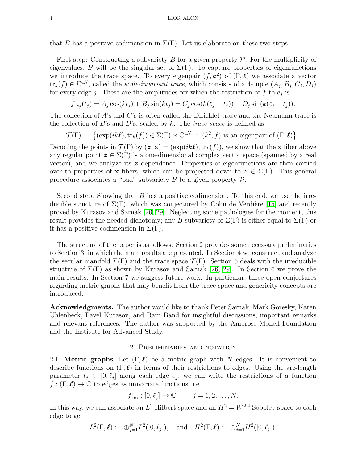that B has a positive codimension in  $\Sigma(\Gamma)$ . Let us elaborate on these two steps.

First step: Constructing a subvariety B for a given property  $P$ . For the multiplicity of eigenvalues, B will be the singular set of  $\Sigma(\Gamma)$ . To capture properties of eigenfunctions we introduce the trace space. To every eigenpair  $(f, k^2)$  of  $(\Gamma, \ell)$  we associate a vector  $\text{tr}_k(f) \in \mathbb{C}^{4N}$ , called the *scale-invariant trace*, which consists of a 4-tuple  $(A_j, B_j, C_j, D_j)$ for every edge j. These are the amplitudes for which the restriction of  $f$  to  $e_j$  is

$$
f|_{e_j}(t_j) = A_j \cos(kt_j) + B_j \sin(kt_j) = C_j \cos(k(\ell_j - t_j)) + D_j \sin(k(\ell_j - t_j)).
$$

The collection of A's and C's is often called the Dirichlet trace and the Neumann trace is the collection of B's and D's, scaled by k. The trace space is defined as

$$
\mathcal{T}(\Gamma) := \left\{ (\exp(ik\boldsymbol{\ell}), \text{tr}_k(f)) \in \Sigma(\Gamma) \times \mathbb{C}^{4N} : (k^2, f) \text{ is an eigenpair of } (\Gamma, \boldsymbol{\ell}) \right\}.
$$

Denoting the points in  $\mathcal{T}(\Gamma)$  by  $(z, x) = (\exp(ik\ell), \text{tr}_k(f))$ , we show that the x fiber above any regular point  $\boldsymbol{z} \in \Sigma(\Gamma)$  is a one-dimensional complex vector space (spanned by a real vector), and we analyze its  $z$  dependence. Properties of eigenfunctions are then carried over to properties of x fibers, which can be projected down to  $z \in \Sigma(\Gamma)$ . This general procedure associates a "bad" subvariety  $B$  to a given property  $\mathcal{P}$ .

Second step: Showing that  $B$  has a positive codimension. To this end, we use the irreducible structure of  $\Sigma(\Gamma)$ , which was conjectured by Colin de Verdière [\[15\]](#page-34-13) and recently proved by Kurasov and Sarnak [\[26,](#page-34-17) [29\]](#page-35-2). Neglecting some pathologies for the moment, this result provides the needed dichotomy; any B subvariety of  $\Sigma(\Gamma)$  is either equal to  $\Sigma(\Gamma)$  or it has a positive codimension in  $\Sigma(\Gamma)$ .

The structure of the paper is as follows. Section 2 provides some necessary preliminaries to Section 3, in which the main results are presented. In Section 4 we construct and analyze the secular manifold  $\Sigma(\Gamma)$  and the trace space  $\mathcal{T}(\Gamma)$ . Section 5 deals with the irreducible structure of  $\Sigma(\Gamma)$  as shown by Kurasov and Sarnak [\[26,](#page-34-17) [29\]](#page-35-2). In Section 6 we prove the main results. In Section 7 we suggest future work. In particular, three open conjectures regarding metric graphs that may benefit from the trace space and genericity concepts are introduced.

Acknowledgments. The author would like to thank Peter Sarnak, Mark Goresky, Karen Uhlenbeck, Pavel Kurasov, and Ram Band for insightful discussions, important remarks and relevant references. The author was supported by the Ambrose Monell Foundation and the Institute for Advanced Study.

## 2. Preliminaries and notation

<span id="page-3-0"></span>2.1. Metric graphs. Let  $(\Gamma, \ell)$  be a metric graph with N edges. It is convenient to describe functions on  $(\Gamma, \ell)$  in terms of their restrictions to edges. Using the arc-length parameter  $t_j \in [0, \ell_j]$  along each edge  $e_j$ , we can write the restrictions of a function  $f : (\Gamma, \ell) \to \mathbb{C}$  to edges as univariate functions, i.e.,

$$
f|_{e_j} : [0, \ell_j] \to \mathbb{C}, \qquad j = 1, 2, \dots, N.
$$

In this way, we can associate an  $L^2$  Hilbert space and an  $H^2 = W^{2,2}$  Sobolev space to each edge to get

$$
L^2(\Gamma, \ell) := \bigoplus_{j=1}^N L^2([0, \ell_j]),
$$
 and  $H^2(\Gamma, \ell) := \bigoplus_{j=1}^N H^2([0, \ell_j]).$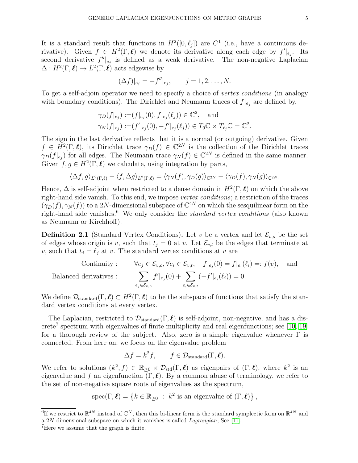It is a standard result that functions in  $H^2([0, \ell_j])$  are  $C^1$  (i.e., have a continuous derivative). Given  $f \in H^2(\Gamma, \ell)$  we denote its derivative along each edge by  $f'|_{e_j}$ . Its second derivative  $f''|_{e_j}$  is defined as a weak derivative. The non-negative Laplacian  $\Delta: H^2(\Gamma, \ell) \to L^2(\Gamma, \ell)$  acts edgewise by

$$
(\Delta f)|_{e_j} = -f''|_{e_j}, \qquad j = 1, 2, ..., N.
$$

To get a self-adjoin operator we need to specify a choice of vertex conditions (in analogy with boundary conditions). The Dirichlet and Neumann traces of  $f|_{e_j}$  are defined by,

$$
\gamma_D(f|_{e_j}) := (f|_{e_j}(0), f|_{e_j}(\ell_j)) \in \mathbb{C}^2, \text{ and}
$$
  

$$
\gamma_N(f|_{e_j}) := (f'|_{e_j}(0), -f'|_{e_j}(\ell_j)) \in T_0\mathbb{C} \times T_{\ell_j}\mathbb{C} = \mathbb{C}^2.
$$

The sign in the last derivative reflects that it is a normal (or outgoing) derivative. Given  $f \in H^2(\Gamma, \ell)$ , its Dirichlet trace  $\gamma_D(f) \in \mathbb{C}^{2N}$  is the collection of the Dirichlet traces  $\gamma_D(f|_{e_j})$  for all edges. The Neumann trace  $\gamma_N(f) \in \mathbb{C}^{2N}$  is defined in the same manner. Given  $f, g \in H^2(\Gamma, \ell)$  we calculate, using integration by parts,

$$
\langle \Delta f, g \rangle_{L^2(\Gamma, \ell)} - \langle f, \Delta g \rangle_{L^2(\Gamma, \ell)} = \langle \gamma_N(f), \gamma_D(g) \rangle_{\mathbb{C}^{2N}} - \langle \gamma_D(f), \gamma_N(g) \rangle_{\mathbb{C}^{2N}}.
$$

Hence,  $\Delta$  is self-adjoint when restricted to a dense domain in  $H^2(\Gamma, \ell)$  on which the above right-hand side vanish. To this end, we impose vertex conditions; a restriction of the traces  $(\gamma_D(f), \gamma_N(f))$  to a 2N-dimensional subspace of  $\mathbb{C}^{4N}$  on which the sesquilinear form on the right-hand side vanishes.<sup>6</sup> We only consider the *standard vertex conditions* (also known as Neumann or Kirchhoff).

<span id="page-4-0"></span>**Definition 2.1** (Standard Vertex Conditions). Let v be a vertex and let  $\mathcal{E}_{v,o}$  be the set of edges whose origin is v, such that  $t_j = 0$  at v. Let  $\mathcal{E}_{v,t}$  be the edges that terminate at v, such that  $t_j = \ell_j$  at v. The standard vertex conditions at v are

Continuity: 
$$
\forall e_j \in \mathcal{E}_{v,o}, \forall e_i \in \mathcal{E}_{v,t}, \quad f|_{e_j}(0) = f|_{e_i}(\ell_i) =: f(v),
$$
 and  
Balanced derivatives: 
$$
\sum_{e_j \in \mathcal{E}_{v,o}} f'|_{e_j}(0) + \sum_{e_i \in \mathcal{E}_{v,t}} (-f'|_{e_i}(\ell_i)) = 0.
$$

We define  $\mathcal{D}_{standard}(\Gamma, \ell) \subset H^2(\Gamma, \ell)$  to be the subspace of functions that satisfy the standard vertex conditions at every vertex.

The Laplacian, restricted to  $\mathcal{D}_{standard}(\Gamma, \ell)$  is self-adjoint, non-negative, and has a dis-crete<sup>7</sup> spectrum with eigenvalues of finite multiplicity and real eigenfunctions; see [\[10,](#page-34-18) [19\]](#page-34-15) for a thorough review of the subject. Also, zero is a simple eigenvalue whenever  $\Gamma$  is connected. From here on, we focus on the eigenvalue problem

$$
\Delta f = k^2 f
$$
,  $f \in \mathcal{D}_{\text{standard}}(\Gamma, \ell)$ .

We refer to solutions  $(k^2, f) \in \mathbb{R}_{\geq 0} \times \mathcal{D}_{std}(\Gamma, \ell)$  as eigenpairs of  $(\Gamma, \ell)$ , where  $k^2$  is an eigenvalue and f an eigenfunction  $(\Gamma, \ell)$ . By a common abuse of terminology, we refer to the set of non-negative square roots of eigenvalues as the spectrum,

spec
$$
(\Gamma, \ell) = \{k \in \mathbb{R}_{\geq 0} : k^2 \text{ is an eigenvalue of } (\Gamma, \ell)\},\
$$

<sup>&</sup>lt;sup>6</sup>If we restrict to  $\mathbb{R}^{4N}$  instead of  $\mathbb{C}^N$ , then this bi-linear form is the standard symplectic form on  $\mathbb{R}^{4N}$  and a 2N-dimensional subspace on which it vanishes is called Lagrangian; See [\[11\]](#page-34-19).

<sup>7</sup>Here we assume that the graph is finite.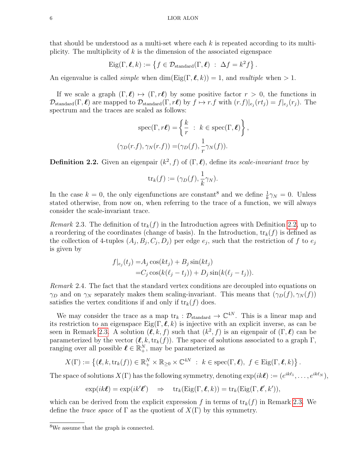that should be understood as a multi-set where each  $k$  is repeated according to its multiplicity. The multiplicity of  $k$  is the dimension of the associated eigenspace

 $\text{Eig}(\Gamma, \ell, k) := \{ f \in \mathcal{D}_{\text{standard}}(\Gamma, \ell) \; : \; \Delta f = k^2 f \}.$ 

An eigenvalue is called *simple* when dim(Eig( $\Gamma$ ,  $\ell$ , k)) = 1, and *multiple* when > 1.

If we scale a graph  $(\Gamma, \ell) \mapsto (\Gamma, r\ell)$  by some positive factor  $r > 0$ , the functions in  $\mathcal{D}_{\text{standard}}(\Gamma, \ell)$  are mapped to  $\mathcal{D}_{\text{standard}}(\Gamma, r\ell)$  by  $f \mapsto r.f$  with  $(r.f)|_{e_j}(rt_j) = f|_{e_j}(r_j)$ . The spectrum and the traces are scaled as follows:

$$
\operatorname{spec}(\Gamma, r\ell) = \left\{ \frac{k}{r} : k \in \operatorname{spec}(\Gamma, \ell) \right\}
$$

$$
(\gamma_D(r.f), \gamma_N(r.f)) = (\gamma_D(f), \frac{1}{r} \gamma_N(f)).
$$

,

<span id="page-5-0"></span>**Definition 2.2.** Given an eigenpair  $(k^2, f)$  of  $(\Gamma, \ell)$ , define its scale-invariant trace by

$$
\mathrm{tr}_k(f) := (\gamma_D(f), \frac{1}{k}\gamma_N).
$$

In the case  $k = 0$ , the only eigenfunctions are constant<sup>8</sup> and we define  $\frac{1}{k}\gamma_N = 0$ . Unless stated otherwise, from now on, when referring to the trace of a function, we will always consider the scale-invariant trace.

<span id="page-5-1"></span>Remark 2.3. The definition of  $\text{tr}_k(f)$  in the Introduction agrees with Definition [2.2,](#page-5-0) up to a reordering of the coordinates (change of basis). In the Introduction,  $tr_k(f)$  is defined as the collection of 4-tuples  $(A_j, B_j, C_j, D_j)$  per edge  $e_j$ , such that the restriction of f to  $e_j$ is given by

$$
f|_{e_j}(t_j) = A_j \cos(kt_j) + B_j \sin(kt_j)
$$
  
=  $C_j \cos(k(\ell_j - t_j)) + D_j \sin(k(\ell_j - t_j)).$ 

Remark 2.4. The fact that the standard vertex conditions are decoupled into equations on  $\gamma_D$  and on  $\gamma_N$  separately makes them scaling-invariant. This means that  $(\gamma_D(f), \gamma_N(f))$ satisfies the vertex conditions if and only if  $tr_k(f)$  does.

We may consider the trace as a map  $\text{tr}_k : \mathcal{D}_{\text{standard}} \to \mathbb{C}^{4N}$ . This is a linear map and its restriction to an eigenspace  $\text{Eig}(\Gamma, \ell, k)$  is injective with an explicit inverse, as can be seen in Remark [2.3.](#page-5-1) A solution  $(\ell, k, f)$  such that  $(k^2, f)$  is an eigenpair of  $(\Gamma, \ell)$  can be parameterized by the vector  $(\ell, k, \text{tr}_k(f))$ . The space of solutions associated to a graph Γ, ranging over all possible  $\ell \in \mathbb{R}^N_+$ , may be parameterized as

$$
X(\Gamma) := \left\{ (\boldsymbol{\ell}, k, \text{tr}_k(f)) \in \mathbb{R}_+^N \times \mathbb{R}_{\geq 0} \times \mathbb{C}^{4N} : k \in \text{spec}(\Gamma, \boldsymbol{\ell}), f \in \text{Eig}(\Gamma, \boldsymbol{\ell}, k) \right\}.
$$

The space of solutions  $X(\Gamma)$  has the following symmetry, denoting  $\exp(ik\ell) := (e^{ik\ell_1}, \ldots, e^{ik\ell_N}),$ 

$$
\exp(ik\ell) = \exp(ik'\ell') \quad \Rightarrow \quad \operatorname{tr}_k(\operatorname{Eig}(\Gamma, \ell, k)) = \operatorname{tr}_k(\operatorname{Eig}(\Gamma, \ell', k')),
$$

which can be derived from the explicit expression f in terms of  $tr_k(f)$  in Remark [2.3.](#page-5-1) We define the *trace space* of  $\Gamma$  as the quotient of  $X(\Gamma)$  by this symmetry.

<sup>8</sup>We assume that the graph is connected.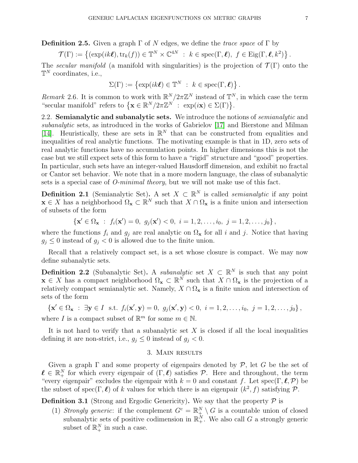**Definition 2.5.** Given a graph  $\Gamma$  of N edges, we define the *trace space* of  $\Gamma$  by

$$
\mathcal{T}(\Gamma) := \left\{ (\exp(ik\boldsymbol{\ell}), \text{tr}_k(f)) \in \mathbb{T}^N \times \mathbb{C}^{4N} : k \in \text{spec}(\Gamma, \boldsymbol{\ell}), f \in \text{Eig}(\Gamma, \boldsymbol{\ell}, k^2) \right\}.
$$

The secular manifold (a manifold with singularities) is the projection of  $\mathcal{T}(\Gamma)$  onto the  $\mathbb{T}^N$  coordinates, i.e.,

$$
\Sigma(\Gamma) := \left\{ \exp(ik\ell) \in \mathbb{T}^N \ : \ k \in \text{spec}(\Gamma, \ell) \right\}.
$$

Remark 2.6. It is common to work with  $\mathbb{R}^N/2\pi\mathbb{Z}^N$  instead of  $\mathbb{T}^N$ , in which case the term "secular manifold" refers to  $\{ \mathbf{x} \in \mathbb{R}^N / 2\pi \mathbb{Z}^N : \exp(i\mathbf{x}) \in \Sigma(\Gamma) \}.$ 

<span id="page-6-1"></span>2.2. Semianalytic and subanalytic sets. We introduce the notions of *semianalytic* and subanalytic sets, as introduced in the works of Gabrielov [\[17\]](#page-34-5) and Bierstone and Milman [\[14\]](#page-34-6). Heuristically, these are sets in  $\mathbb{R}^N$  that can be constructed from equalities and inequalities of real analytic functions. The motivating example is that in 1D, zero sets of real analytic functions have no accumulation points. In higher dimensions this is not the case but we still expect sets of this form to have a "rigid" structure and "good" properties. In particular, such sets have an integer-valued Hausdorff dimension, and exhibit no fractal or Cantor set behavior. We note that in a more modern language, the class of subanalytic sets is a special case of *O-minimal theory*, but we will not make use of this fact.

**Definition 2.1** (Semianalytic Set). A set  $X \subset \mathbb{R}^N$  is called *semianalytic* if any point  $\mathbf{x} \in X$  has a neighborhood  $\Omega_{\mathbf{x}} \subset \mathbb{R}^N$  such that  $X \cap \Omega_{\mathbf{x}}$  is a finite union and intersection of subsets of the form

$$
\left\{ \mathbf{x}' \in \Omega_{\mathbf{x}} : f_i(\mathbf{x}') = 0, \ g_j(\mathbf{x}') < 0, \ i = 1, 2, \dots, i_0, \ j = 1, 2, \dots, j_0 \right\},
$$

where the functions  $f_i$  and  $g_j$  are real analytic on  $\Omega_x$  for all i and j. Notice that having  $g_i \leq 0$  instead of  $g_i < 0$  is allowed due to the finite union.

Recall that a relatively compact set, is a set whose closure is compact. We may now define subanalytic sets.

<span id="page-6-0"></span>**Definition 2.2** (Subanalytic Set). A *subanalytic* set  $X \subset \mathbb{R}^N$  is such that any point  $\mathbf{x} \in X$  has a compact neighborhood  $\Omega_{\mathbf{x}} \subset \mathbb{R}^N$  such that  $X \cap \Omega_{\mathbf{x}}$  is the projection of a relatively compact semianalytic set. Namely,  $X \cap \Omega_{\mathbf{x}}$  is a finite union and intersection of sets of the form

$$
\left\{ \mathbf{x}' \in \Omega_{\mathbf{x}} : \exists \mathbf{y} \in I \text{ s.t. } f_i(\mathbf{x}', \mathbf{y}) = 0, \ g_j(\mathbf{x}', \mathbf{y}) < 0, \ i = 1, 2, \dots, i_0, \ j = 1, 2, \dots, j_0 \right\},
$$

where *I* is a compact subset of  $\mathbb{R}^m$  for some  $m \in \mathbb{N}$ .

It is not hard to verify that a subanalytic set  $X$  is closed if all the local inequalities defining it are non-strict, i.e.,  $g_j \leq 0$  instead of  $g_j < 0$ .

# 3. Main results

Given a graph  $\Gamma$  and some property of eigenpairs denoted by  $\mathcal{P}$ , let G be the set of  $\ell \in \mathbb{R}^N_+$  for which every eigenpair of  $(\Gamma, \ell)$  satisfies P. Here and throughout, the term "every eigenpair" excludes the eigenpair with  $k = 0$  and constant f. Let spec(Γ, $\ell, \mathcal{P}$ ) be the subset of spec( $\Gamma$ ,  $\ell$ ) of k values for which there is an eigenpair  $(k^2, f)$  satisfying  $\mathcal{P}$ .

**Definition 3.1** (Strong and Ergodic Genericity). We say that the property  $\mathcal{P}$  is

(1) Strongly generic: if the complement  $G^c = \mathbb{R}^N_+ \setminus G$  is a countable union of closed subanalytic sets of positive codimension in  $\mathbb{R}^N_+$ . We also call G a strongly generic subset of  $\mathbb{R}^N_+$  in such a case.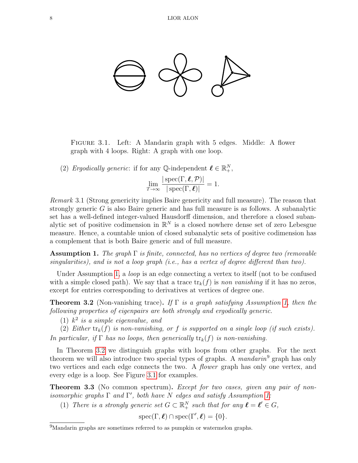<span id="page-7-3"></span>

Figure 3.1. Left: A Mandarin graph with 5 edges. Middle: A flower graph with 4 loops. Right: A graph with one loop.

(2) Ergodically generic: if for any  $\mathbb{Q}$ -independent  $\ell \in \mathbb{R}^N_+$ ,

$$
\lim_{T \to \infty} \frac{|\operatorname{spec}(\Gamma, \ell, \mathcal{P})|}{|\operatorname{spec}(\Gamma, \ell)|} = 1.
$$

Remark 3.1 (Strong genericity implies Baire genericity and full measure). The reason that strongly generic  $G$  is also Baire generic and has full measure is as follows. A subanalytic set has a well-defined integer-valued Hausdorff dimension, and therefore a closed subanalytic set of positive codimension in  $\mathbb{R}^N$  is a closed nowhere dense set of zero Lebesgue measure. Hence, a countable union of closed subanalytic sets of positive codimension has a complement that is both Baire generic and of full measure.

<span id="page-7-2"></span>**Assumption 1.** The graph  $\Gamma$  is finite, connected, has no vertices of degree two (removable singularities), and is not a loop graph (i.e., has a vertex of degree different than two).

Under Assumption [1,](#page-7-2) a *loop* is an edge connecting a vertex to itself (not to be confused with a simple closed path). We say that a trace  $\text{tr}_k(f)$  is non vanishing if it has no zeros, except for entries corresponding to derivatives at vertices of degree one.

<span id="page-7-0"></span>**Theorem 3.2** (Non-vanishing trace). If  $\Gamma$  is a graph satisfying Assumption [1,](#page-7-2) then the following properties of eigenpairs are both strongly and ergodically generic.

(1)  $k^2$  is a simple eigenvalue, and

(2) Either  $tr_k(f)$  is non-vanishing, or f is supported on a single loop (if such exists). In particular, if  $\Gamma$  has no loops, then generically  $tr_k(f)$  is non-vanishing.

In Theorem [3.2](#page-7-0) we distinguish graphs with loops from other graphs. For the next theorem we will also introduce two special types of graphs. A *mandarin*<sup>9</sup> graph has only two vertices and each edge connects the two. A *flower* graph has only one vertex, and every edge is a loop. See Figure [3.1](#page-7-3) for examples.

<span id="page-7-1"></span>**Theorem 3.3** (No common spectrum). Except for two cases, given any pair of nonisomorphic graphs  $\Gamma$  and  $\Gamma'$ , both have N edges and satisfy Assumption [1:](#page-7-2)

(1) There is a strongly generic set  $G \subset \mathbb{R}^N_+$  such that for any  $\ell = \ell' \in G$ ,

 $spec(\Gamma, \ell) \cap spec(\Gamma', \ell) = \{0\}.$ 

<sup>&</sup>lt;sup>9</sup>Mandarin graphs are sometimes referred to as pumpkin or watermelon graphs.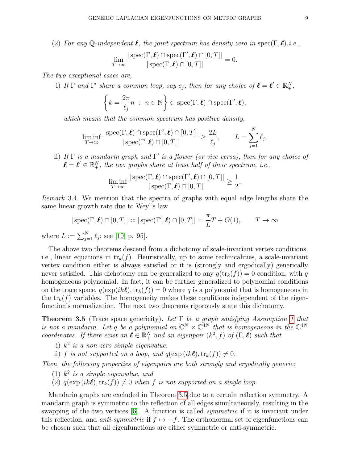(2) For any Q-independent  $\ell$ , the joint spectrum has density zero in spec(Γ,  $\ell$ ),i.e.,

$$
\lim_{T \to \infty} \frac{|\operatorname{spec}(\Gamma, \boldsymbol{\ell}) \cap \operatorname{spec}(\Gamma', \boldsymbol{\ell}) \cap [0, T]|}{|\operatorname{spec}(\Gamma, \boldsymbol{\ell}) \cap [0, T]|} = 0.
$$

The two exceptional cases are,

i) If  $\Gamma$  and  $\Gamma'$  share a common loop, say  $e_j$ , then for any choice of  $\ell = \ell' \in \mathbb{R}^N_+$ ,

$$
\left\{k=\frac{2\pi}{\ell_j}n\ :\ n\in\mathbb{N}\right\}\subset \mathrm{spec}(\Gamma,\boldsymbol{\ell})\cap \mathrm{spec}(\Gamma',\boldsymbol{\ell}),
$$

which means that the common spectrum has positive density,

$$
\liminf_{T \to \infty} \frac{|\operatorname{spec}(\Gamma, \ell) \cap \operatorname{spec}(\Gamma', \ell) \cap [0, T]|}{|\operatorname{spec}(\Gamma, \ell) \cap [0, T]|} \ge \frac{2L}{\ell_j}, \qquad L = \sum_{j=1}^N \ell_j.
$$

ii) If  $\Gamma$  is a mandarin graph and  $\Gamma'$  is a flower (or vice versa), then for any choice of  $\ell = \ell' \in \mathbb{R}^N_+$ , the two graphs share at least half of their spectrum, i.e.,

$$
\liminf_{T \to \infty} \frac{|\operatorname{spec}(\Gamma, \ell) \cap \operatorname{spec}(\Gamma', \ell) \cap [0, T]|}{|\operatorname{spec}(\Gamma, \ell) \cap [0, T]|} \ge \frac{1}{2}.
$$

<span id="page-8-2"></span>Remark 3.4. We mention that the spectra of graphs with equal edge lengths share the same linear growth rate due to Weyl's law

$$
|\operatorname{spec}(\Gamma,\boldsymbol{\ell}) \cap [0,T]| \asymp |\operatorname{spec}(\Gamma',\boldsymbol{\ell}) \cap [0,T]| = \frac{\pi}{L}T + O(1), \qquad T \to \infty
$$
  

$$
T \asymp \mathcal{N} \quad \text{for all } n \ge 1
$$

where  $L := \sum_{j=1}^{N} \ell_j$ ; see [\[10,](#page-34-18) p. 95].

The above two theorems descend from a dichotomy of scale-invariant vertex conditions, i.e., linear equations in  $tr_k(f)$ . Heuristically, up to some technicalities, a scale-invariant vertex condition either is always satisfied or it is (strongly and ergodically) generically never satisfied. This dichotomy can be generalized to any  $q(\text{tr}_k(f)) = 0$  condition, with q homogeneous polynomial. In fact, it can be further generalized to polynomial conditions on the trace space,  $q(\exp(ik\ell),\text{tr}_k(f)) = 0$  where q is a polynomial that is homogeneous in the  $tr_k(f)$  variables. The homogeneity makes these conditions independent of the eigenfunction's normalization. The next two theorems rigorously state this dichotomy.

<span id="page-8-0"></span>**Theorem 3.5** (Trace space genericity). Let  $\Gamma$  be a graph satisfying Assumption [1](#page-7-2) that is not a mandarin. Let q be a polynomial on  $\mathbb{C}^N \times \mathbb{C}^{4N}$  that is homogeneous in the  $\mathbb{C}^{4N}$ coordinates. If there exist an  $\ell \in \mathbb{R}_+^N$  and an eigenpair  $(k^2, f)$  of  $(\Gamma, \ell)$  such that

- i)  $k^2$  is a non-zero simple eigenvalue.
- ii) f is not supported on a loop, and  $q(\exp(ik\ell),\text{tr}_k(f)) \neq 0$ .

Then, the following properties of eigenpairs are both strongly and ergodically generic:

- (1)  $k^2$  is a simple eigenvalue, and
- <span id="page-8-1"></span>(2)  $q(\exp(ik\ell),\text{tr}_k(f)) \neq 0$  when f is not supported on a single loop.

Mandarin graphs are excluded in Theorem [3.5](#page-8-0) due to a certain reflection symmetry. A mandarin graph is symmetric to the reflection of all edges simultaneously, resulting in the swapping of the two vertices [\[6\]](#page-34-20). A function is called *symmetric* if it is invariant under this reflection, and *anti-symmetric* if  $f \mapsto -f$ . The orthonormal set of eigenfunctions can be chosen such that all eigenfunctions are either symmetric or anti-symmetric.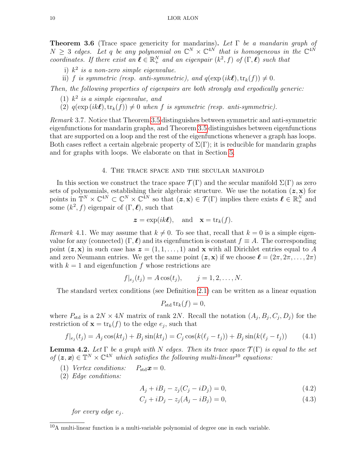<span id="page-9-4"></span>**Theorem 3.6** (Trace space genericity for mandarins). Let  $\Gamma$  be a mandarin graph of  $N \geq 3$  edges. Let q be any polynomial on  $\mathbb{C}^N \times \mathbb{C}^{4N}$  that is homogeneous in the  $\mathbb{C}^{4N}$ coordinates. If there exist an  $\ell \in \mathbb{R}^N_+$  and an eigenpair  $(k^2, f)$  of  $(\Gamma, \ell)$  such that

- i)  $k^2$  is a non-zero simple eigenvalue.
- ii) f is symmetric (resp. anti-symmetric), and  $q(\exp(ik\ell),\text{tr}_k(f)) \neq 0$ .

Then, the following properties of eigenpairs are both strongly and ergodically generic:

- (1)  $k^2$  is a simple eigenvalue, and
- (2)  $q(\exp(ik\ell),\text{tr}_k(f)) \neq 0$  when f is symmetric (resp. anti-symmetric).

Remark 3.7. Notice that Theorem [3.5](#page-8-0) distinguishes between symmetric and anti-symmetric eigenfunctions for mandarin graphs, and Theorem [3.5](#page-8-0) distinguishes between eigenfunctions that are supported on a loop and the rest of the eigenfunctions whenever a graph has loops. Both cases reflect a certain algebraic property of  $\Sigma(\Gamma)$ ; it is reducible for mandarin graphs and for graphs with loops. We elaborate on that in Section [5.](#page-15-0)

# 4. The trace space and the secular manifold

In this section we construct the trace space  $\mathcal{T}(\Gamma)$  and the secular manifold  $\Sigma(\Gamma)$  as zero sets of polynomials, establishing their algebraic structure. We use the notation  $(z, x)$  for points in  $\mathbb{T}^N \times \mathbb{C}^{4N} \subset \mathbb{C}^N \times \mathbb{C}^{4N}$  so that  $(z, x) \in \mathcal{T}(\Gamma)$  implies there exists  $\ell \in \mathbb{R}_+^N$  and some  $(k^2, f)$  eigenpair of  $(\Gamma, \ell)$ , such that

$$
z = \exp(ik\ell)
$$
, and  $\mathbf{x} = \text{tr}_k(f)$ .

Remark 4.1. We may assume that  $k \neq 0$ . To see that, recall that  $k = 0$  is a simple eigenvalue for any (connected)  $(\Gamma, \ell)$  and its eigenfunction is constant  $f \equiv A$ . The corresponding point  $(z, x)$  in such case has  $z = (1, 1, \ldots, 1)$  and x with all Dirichlet entries equal to A and zero Neumann entries. We get the same point  $(\mathbf{z}, \mathbf{x})$  if we choose  $\mathbf{\ell} = (2\pi, 2\pi, \dots, 2\pi)$ with  $k = 1$  and eigenfunction f whose restrictions are

$$
f|_{e_j}(t_j) = A \cos(t_j), \qquad j = 1, 2, ..., N.
$$

The standard vertex conditions (see Definition [2.1\)](#page-4-0) can be written as a linear equation

<span id="page-9-1"></span>
$$
P_{\rm std} \operatorname{tr}_k(f) = 0,
$$

where  $P_{\text{std}}$  is a  $2N \times 4N$  matrix of rank  $2N$ . Recall the notation  $(A_j, B_j, C_j, D_j)$  for the restriction of  $\mathbf{x} = \text{tr}_k(f)$  to the edge  $e_j$ , such that

<span id="page-9-3"></span>
$$
f|_{e_j}(t_j) = A_j \cos(kt_j) + B_j \sin(kt_j) = C_j \cos(k(\ell_j - t_j)) + B_j \sin(k(\ell_j - t_j)) \tag{4.1}
$$

<span id="page-9-0"></span>**Lemma 4.2.** Let  $\Gamma$  be a graph with N edges. Then its trace space  $\mathcal{T}(\Gamma)$  is equal to the set of  $(z, x) \in \mathbb{T}^N \times \mathbb{C}^{4N}$  which satisfies the following multi-linear<sup>10</sup> equations:

(1) Vertex conditions:  $P_{\text{std}}\boldsymbol{x} = 0$ .

(2) Edge conditions:

<span id="page-9-2"></span>
$$
A_j + iB_j - z_j(C_j - iD_j) = 0,
$$
\n(4.2)

$$
C_j + iD_j - z_j(A_j - iB_j) = 0,
$$
\n(4.3)

for every edge  $e_j$ .

 $\frac{10}{10}$ A multi-linear function is a multi-variable polynomial of degree one in each variable.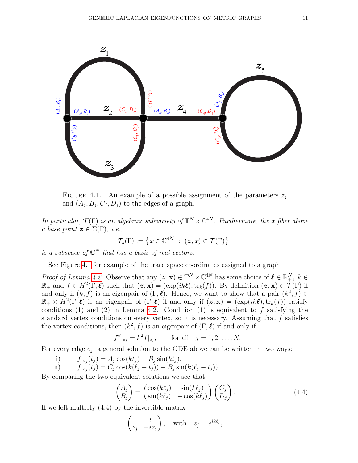<span id="page-10-0"></span>

FIGURE 4.1. An example of a possible assignment of the parameters  $z_i$ and  $(A_j, B_j, C_j, D_j)$  to the edges of a graph.

In particular,  $\mathcal{T}(\Gamma)$  is an algebraic subvariety of  $\mathbb{T}^N\times\mathbb{C}^{4N}$ . Furthermore, the **x** fiber above a base point  $\boldsymbol{z} \in \Sigma(\Gamma)$ , *i.e.*,

$$
\mathcal{T}_{\bm{z}}(\Gamma) := \left\{ \bm{x} \in \mathbb{C}^{4N} ~:~ (\bm{z}, \bm{x}) \in \mathcal{T}(\Gamma) \right\},\,
$$

is a subspace of  $\mathbb{C}^N$  that has a basis of real vectors.

See Figure [4.1](#page-10-0) for example of the trace space coordinates assigned to a graph.

*Proof of Lemma [4.2.](#page-9-0)* Observe that any  $(z, x) \in \mathbb{T}^N \times \mathbb{C}^{4N}$  has some choice of  $\ell \in \mathbb{R}^N_+$ ,  $k \in$  $\mathbb{R}_+$  and  $f \in H^2(\Gamma, \ell)$  such that  $(z, x) = (\exp(ik\ell), \text{tr}_k(f))$ . By definition  $(z, x) \in \mathcal{T}(\Gamma)$  if and only if  $(k, f)$  is an eigenpair of  $(\Gamma, \ell)$ . Hence, we want to show that a pair  $(k^2, f) \in$  $\mathbb{R}_+ \times H^2(\Gamma, \ell)$  is an eigenpair of  $(\Gamma, \ell)$  if and only if  $(z, x) = (\exp(ik\ell), \text{tr}_k(f))$  satisfy conditions (1) and (2) in Lemma [4.2.](#page-9-0) Condition (1) is equivalent to  $f$  satisfying the standard vertex conditions on every vertex, so it is necessary. Assuming that  $f$  satisfies the vertex conditions, then  $(k^2, f)$  is an eigenpair of  $(\Gamma, \ell)$  if and only if

$$
-f''|_{e_j} = k^2 f|_{e_j}
$$
, for all  $j = 1, 2, ..., N$ .

For every edge  $e_j$ , a general solution to the ODE above can be written in two ways:

i)  $f|_{e_j}(t_j) = A_j \cos(kt_j) + B_j \sin(kt_j),$ 

ii) 
$$
f|_{e_j}(t_j) = C_j \cos(k(\ell_j - t_j)) + B_j \sin(k(\ell_j - t_j)).
$$

By comparing the two equivalent solutions we see that

<span id="page-10-1"></span>
$$
\begin{pmatrix} A_j \\ B_j \end{pmatrix} = \begin{pmatrix} \cos(k\ell_j) & \sin(k\ell_j) \\ \sin(k\ell_j) & -\cos(k\ell_j) \end{pmatrix} \begin{pmatrix} C_j \\ D_j \end{pmatrix} . \tag{4.4}
$$

If we left-multiply [\(4.4\)](#page-10-1) by the invertible matrix

$$
\begin{pmatrix} 1 & i \\ z_j & -iz_j \end{pmatrix}
$$
, with  $z_j = e^{ik\ell_j}$ ,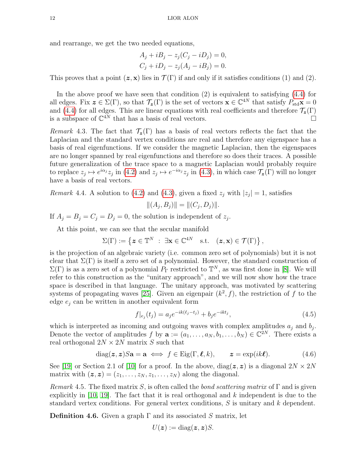and rearrange, we get the two needed equations,

$$
A_j + iB_j - z_j(C_j - iD_j) = 0,
$$
  
\n
$$
C_j + iD_j - z_j(A_j - iB_j) = 0.
$$

This proves that a point  $(z, x)$  lies in  $\mathcal{T}(\Gamma)$  if and only if it satisfies conditions (1) and (2).

In the above proof we have seen that condition  $(2)$  is equivalent to satisfying  $(4.4)$  for all edges. Fix  $\mathbf{z} \in \Sigma(\Gamma)$ , so that  $\mathcal{T}_{\mathbf{z}}(\Gamma)$  is the set of vectors  $\mathbf{x} \in \mathbb{C}^{4N}$  that satisfy  $P_{\text{std}}\mathbf{x} = 0$ and [\(4.4\)](#page-10-1) for all edges. This are linear equations with real coefficients and therefore  $\mathcal{T}_{z}(\Gamma)$ is a subspace of  $\mathbb{C}^{4N}$  that has a basis of real vectors.

Remark 4.3. The fact that  $\mathcal{T}_{z}(\Gamma)$  has a basis of real vectors reflects the fact that the Laplacian and the standard vertex conditions are real and therefore any eigenspace has a basis of real eigenfunctions. If we consider the magnetic Laplacian, then the eigenspaces are no longer spanned by real eigenfunctions and therefore so does their traces. A possible future generalization of the trace space to a magnetic Laplacian would probably require to replace  $z_j \mapsto e^{i\alpha_j} z_j$  in [\(4.2\)](#page-9-1) and  $z_j \mapsto e^{-i\alpha_j} z_j$  in [\(4.3\)](#page-9-2), in which case  $\mathcal{T}_{z}(\Gamma)$  will no longer have a basis of real vectors.

<span id="page-11-2"></span>*Remark* 4.4. A solution to [\(4.2\)](#page-9-1) and [\(4.3\)](#page-9-2), given a fixed  $z_j$  with  $|z_j|=1$ , satisfies

$$
||(A_j, B_j)|| = ||(C_j, D_j)||.
$$

If  $A_j = B_j = C_j = D_j = 0$ , the solution is independent of  $z_j$ .

At this point, we can see that the secular manifold

$$
\Sigma(\Gamma) := \left\{ \boldsymbol{z} \in \mathbb{T}^N \; : \; \exists \mathbf{x} \in \mathbb{C}^{4N} \quad \text{s.t.} \quad (\boldsymbol{z}, \mathbf{x}) \in \mathcal{T}(\Gamma) \right\},
$$

is the projection of an algebraic variety (i.e. common zero set of polynomials) but it is not clear that  $\Sigma(\Gamma)$  is itself a zero set of a polynomial. However, the standard construction of  $\Sigma(\Gamma)$  is as a zero set of a polynomial  $P_{\Gamma}$  restricted to  $\mathbb{T}^{N}$ , as was first done in [\[8\]](#page-34-10). We will refer to this construction as the "unitary approach", and we will now show how the trace space is described in that language. The unitary approach, was motivated by scattering systems of propagating waves [\[25\]](#page-34-9). Given an eigenpair  $(k^2, f)$ , the restriction of f to the edge  $e_i$  can be written in another equivalent form

<span id="page-11-1"></span>
$$
f|_{e_j}(t_j) = a_j e^{-ik(\ell_j - t_j)} + b_j e^{-ikt_j},\tag{4.5}
$$

which is interpreted as incoming and outgoing waves with complex amplitudes  $a_j$  and  $b_j$ . Denote the vector of amplitudes f by  $\mathbf{a} := (a_1, \ldots, a_N, b_1, \ldots, b_N) \in \mathbb{C}^{2N}$ . There exists a real orthogonal  $2N \times 2N$  matrix S such that

<span id="page-11-0"></span>
$$
diag(z, z)Sa = \mathbf{a} \iff f \in \text{Eig}(\Gamma, \ell, k), \qquad z = \exp(ik\ell). \tag{4.6}
$$

See [\[19\]](#page-34-15) or Section 2.1 of [\[10\]](#page-34-18) for a proof. In the above,  $diag(z, z)$  is a diagonal  $2N \times 2N$ matrix with  $(z, z) = (z_1, \ldots, z_N, z_1, \ldots, z_N)$  along the diagonal.

<span id="page-11-3"></span>Remark 4.5. The fixed matrix S, is often called the bond scattering matrix of  $\Gamma$  and is given explicitly in  $[10, 19]$  $[10, 19]$ . The fact that it is real orthogonal and k independent is due to the standard vertex conditions. For general vertex conditions, S is unitary and k dependent.

**Definition 4.6.** Given a graph  $\Gamma$  and its associated S matrix, let

$$
U(z) := \mathrm{diag}(z, z)S.
$$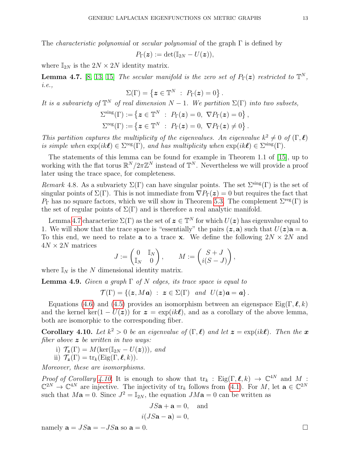The *characteristic polynomial* or *secular polynomial* of the graph  $\Gamma$  is defined by

$$
P_{\Gamma}(\boldsymbol{z}) := \det(\mathbb{I}_{2N} - U(\boldsymbol{z})),
$$

where  $\mathbb{I}_{2N}$  is the  $2N \times 2N$  identity matrix.

<span id="page-12-0"></span>**Lemma 4.7.** [\[8,](#page-34-10) [13,](#page-34-12) [15\]](#page-34-13) The secular manifold is the zero set of  $P_{\Gamma}(z)$  restricted to  $\mathbb{T}^{N}$ , i.e.,

$$
\Sigma(\Gamma) = \left\{ \boldsymbol{z} \in \mathbb{T}^N \; : \; P_{\Gamma}(\boldsymbol{z}) = 0 \right\}.
$$

It is a subvariety of  $\mathbb{T}^N$  of real dimension  $N-1$ . We partition  $\Sigma(\Gamma)$  into two subsets,

$$
\Sigma^{\text{sing}}(\Gamma) := \{ \boldsymbol{z} \in \mathbb{T}^N \; : \; P_{\Gamma}(\boldsymbol{z}) = 0, \; \nabla P_{\Gamma}(\boldsymbol{z}) = 0 \},
$$
  

$$
\Sigma^{\text{reg}}(\Gamma) := \{ \boldsymbol{z} \in \mathbb{T}^N \; : \; P_{\Gamma}(\boldsymbol{z}) = 0, \; \nabla P_{\Gamma}(\boldsymbol{z}) \neq 0 \}.
$$

This partition captures the multiplicity of the eigenvalues. An eigenvalue  $k^2 \neq 0$  of  $(\Gamma, \ell)$ is simple when  $\exp(ik\ell) \in \Sigma^{\text{reg}}(\Gamma)$ , and has multiplicity when  $\exp(ik\ell) \in \Sigma^{\text{sing}}(\Gamma)$ .

The statements of this lemma can be found for example in Theorem 1.1 of [\[15\]](#page-34-13), up to working with the flat torus  $\mathbb{R}^N/2\pi\mathbb{Z}^N$  instead of  $\mathbb{T}^N$ . Nevertheless we will provide a proof later using the trace space, for completeness.

Remark 4.8. As a subvariety  $\Sigma(\Gamma)$  can have singular points. The set  $\Sigma^{\rm sing}(\Gamma)$  is the set of singular points of  $\Sigma(\Gamma)$ . This is not immediate from  $\nabla P_{\Gamma}(z) = 0$  but requires the fact that  $P_{\Gamma}$  has no square factors, which we will show in Theorem [5.3.](#page-16-0) The complement  $\Sigma^{\text{reg}}(\Gamma)$  is the set of regular points of  $\Sigma(\Gamma)$  and is therefore a real analytic manifold.

Lemma [4.7](#page-12-0) characterize  $\Sigma(\Gamma)$  as the set of  $\boldsymbol{z} \in \mathbb{T}^N$  for which  $U(\boldsymbol{z})$  has eigenvalue equal to 1. We will show that the trace space is "essentially" the pairs  $(z, a)$  such that  $U(z)a = a$ . To this end, we need to relate **a** to a trace **x**. We define the following  $2N \times 2N$  and  $4N \times 2N$  matrices

$$
J:=\begin{pmatrix}0&\mathbb{I}_N\\ \mathbb{I}_N&0\end{pmatrix},\qquad M:=\begin{pmatrix}S+J\\ i(S-J)\end{pmatrix},
$$

where  $\mathbb{I}_N$  is the N dimensional identity matrix.

<span id="page-12-2"></span>**Lemma 4.9.** Given a graph  $\Gamma$  of N edges, its trace space is equal to

 $\mathcal{T}(\Gamma) = \{ (z, M\boldsymbol{a}) : z \in \Sigma(\Gamma) \text{ and } U(z)\boldsymbol{a} = \boldsymbol{a} \}.$ 

Equations [\(4.6\)](#page-11-0) and [\(4.5\)](#page-11-1) provides an isomorphism between an eigenspace Eig(Γ,  $\ell, k$ ) and the kernel ker(1 –  $U(z)$ ) for  $z = \exp(ik\ell)$ , and as a corollary of the above lemma, both are isomorphic to the corresponding fiber.

<span id="page-12-1"></span>**Corollary 4.10.** Let  $k^2 > 0$  be an eigenvalue of  $(\Gamma, \ell)$  and let  $z = \exp(ik\ell)$ . Then the x fiber above  $z$  be written in two ways:

- i)  $\mathcal{T}_{\mathbf{z}}(\Gamma) = M(\ker(\mathbb{I}_{2N} U(\mathbf{z}))),$  and
- ii)  $\mathcal{T}_{z}(\Gamma) = \text{tr}_k(\text{Eig}(\Gamma, \ell, k)).$

Moreover, these are isomorphisms.

*Proof of Corollary [4.10.](#page-12-1)* It is enough to show that  $tr_k$ : Eig( $\Gamma, \ell, k$ )  $\rightarrow \mathbb{C}^{4N}$  and M:  $\mathbb{C}^{2N} \to \mathbb{C}^{4N}$  are injective. The injectivity of  $tr_k$  follows from [\(4.1\)](#page-9-3). For M, let  $\mathbf{a} \in \mathbb{C}^{2N}$ such that  $M\mathbf{a} = 0$ . Since  $J^2 = \mathbb{I}_{2N}$ , the equation  $JM\mathbf{a} = 0$  can be written as

$$
JSa + a = 0, \text{ and}
$$

$$
i(JSa - a) = 0,
$$

namely  $\mathbf{a} = JS\mathbf{a} = -JS\mathbf{a}$  so  $\mathbf{a} = 0$ .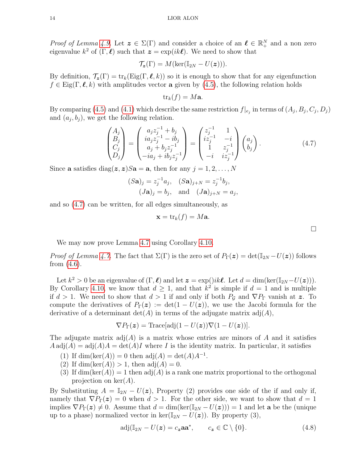*Proof of Lemma [4.9.](#page-12-2)* Let  $\boldsymbol{z} \in \Sigma(\Gamma)$  and consider a choice of an  $\ell \in \mathbb{R}^N_+$  and a non zero eigenvalue  $k^2$  of  $(\Gamma, \ell)$  such that  $\boldsymbol{z} = \exp(ik\ell)$ . We need to show that

$$
\mathcal{T}_{\mathbf{z}}(\Gamma)=M(\ker(\mathbb{I}_{2N}-U(\boldsymbol{z}))).
$$

By definition,  $\mathcal{T}_{z}(\Gamma) = \text{tr}_k(\text{Eig}(\Gamma, \ell, k))$  so it is enough to show that for any eigenfunction  $f \in$  Eig(Γ,  $\ell, k$ ) with amplitudes vector a given by [\(4.5\)](#page-11-1), the following relation holds

$$
\mathrm{tr}_k(f)=M\mathbf{a}.
$$

By comparing [\(4.5\)](#page-11-1) and [\(4.1\)](#page-9-3) which describe the same restriction  $f|_{e_j}$  in terms of  $(A_j, B_j, C_j, D_j)$ and  $(a_j, b_j)$ , we get the following relation.

<span id="page-13-0"></span>
$$
\begin{pmatrix} A_j \ B_j \ C_j \ D_j \end{pmatrix} = \begin{pmatrix} a_j z_j^{-1} + b_j \ i a_j z_j^{-1} - i b_j \ a_j + b_j z_j^{-1} \ -i a_j + i b_j z_j^{-1} \end{pmatrix} = \begin{pmatrix} z_j^{-1} & 1 \ i z_j^{-1} & -i \ 1 & z_j^{-1} \ -i & i z_j^{-1} \end{pmatrix} \begin{pmatrix} a_j \ b_j \end{pmatrix}.
$$
 (4.7)

Since **a** satisfies diag( $\mathbf{z}, \mathbf{z}$ )  $S\mathbf{a} = \mathbf{a}$ , then for any  $j = 1, 2, ..., N$ 

$$
(S\mathbf{a})_j = z_j^{-1} a_j
$$
,  $(S\mathbf{a})_{j+N} = z_j^{-1} b_j$ ,  
\n $(J\mathbf{a})_j = b_j$ , and  $(J\mathbf{a})_{j+N} = a_j$ ,

and so [\(4.7\)](#page-13-0) can be written, for all edges simultaneously, as

$$
\mathbf{x} = \text{tr}_k(f) = M\mathbf{a}.
$$

We may now prove Lemma [4.7](#page-12-0) using Corollary [4.10.](#page-12-1)

*Proof of Lemma [4.7.](#page-12-0)* The fact that  $\Sigma(\Gamma)$  is the zero set of  $P_{\Gamma}(z) = det(\mathbb{I}_{2N} - U(z))$  follows from [\(4.6\)](#page-11-0).

Let  $k^2 > 0$  be an eigenvalue of  $(\Gamma, \ell)$  and let  $\boldsymbol{z} = \exp(jik\ell)$ . Let  $d = \dim(\ker(\mathbb{I}_{2N} - U(\boldsymbol{z})))$ . By Corollary [4.10,](#page-12-1) we know that  $d \geq 1$ , and that  $k^2$  is simple if  $d = 1$  and is multiple if  $d > 1$ . We need to show that  $d > 1$  if and only if both  $P_g$  and  $\nabla P_{\Gamma}$  vanish at z. To compute the derivatives of  $P_{\Gamma}(z) := \det(1 - U(z))$ , we use the Jacobi formula for the derivative of a determinant  $\det(A)$  in terms of the adjugate matrix  $\text{adj}(A)$ ,

$$
\nabla P_{\Gamma}(z) = \text{Trace}[\text{adj}(1 - U(z))\nabla(1 - U(z))].
$$

The adjugate matrix  $adj(A)$  is a matrix whose entries are minors of A and it satisfies  $A \text{adj}(A) = \text{adj}(A)A = \text{det}(A)I$  where I is the identity matrix. In particular, it satisfies

- (1) If  $\dim(\ker(A)) = 0$  then  $\text{adj}(A) = \det(A)A^{-1}$ .
- (2) If  $\dim(\ker(A)) > 1$ , then  $\text{adj}(A) = 0$ .
- (3) If  $\dim(\ker(A)) = 1$  then  $\text{adj}(A)$  is a rank one matrix proportional to the orthogonal projection on  $\ker(A)$ .

By Substituting  $A = \mathbb{I}_{2N} - U(z)$ , Property (2) provides one side of the if and only if, namely that  $\nabla P_{\Gamma}(z) = 0$  when  $d > 1$ . For the other side, we want to show that  $d = 1$ implies  $\nabla P_{\Gamma}(z) \neq 0$ . Assume that  $d = \dim(\ker(\mathbb{I}_{2N} - U(z))) = 1$  and let **a** be the (unique up to a phase) normalized vector in ker( $\mathbb{I}_{2N} - U(z)$ ). By property (3),

<span id="page-13-1"></span>
$$
adj(I_{2N} - U(z) = c_z \mathbf{aa}^*, \qquad c_z \in \mathbb{C} \setminus \{0\}.
$$
\n(4.8)

 $\Box$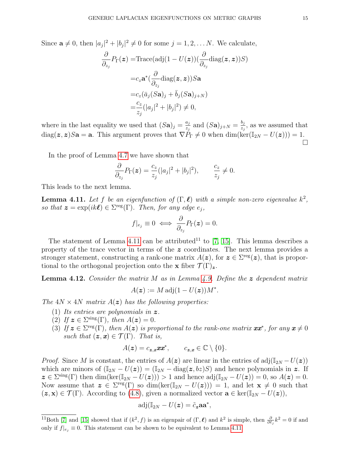Since  $\mathbf{a} \neq 0$ , then  $|a_j|^2 + |b_j|^2 \neq 0$  for some  $j = 1, 2, \dots N$ . We calculate,

$$
\frac{\partial}{\partial z_j} P_{\Gamma}(\boldsymbol{z}) = \text{Trace}(\text{adj}(1 - U(\boldsymbol{z})) (\frac{\partial}{\partial z_j} \text{diag}(\boldsymbol{z}, \boldsymbol{z})) S)
$$

$$
= c_z \mathbf{a}^* (\frac{\partial}{\partial z_j} \text{diag}(\boldsymbol{z}, \boldsymbol{z})) S \mathbf{a}
$$

$$
= c_z (\bar{a}_j (S \mathbf{a})_j + \bar{b}_j (S \mathbf{a})_{j+N})
$$

$$
= \frac{c_z}{z_j} (|a_j|^2 + |b_j|^2) \neq 0,
$$

where in the last equality we used that  $(Sa)_j = \frac{a_j}{z_i}$  $\frac{a_j}{z_j}$  and  $(Sa)_{j+N} = \frac{b_j}{z_j}$  $\frac{a_j}{z_j}$ , as we assumed that diag( $\mathbf{z}, \mathbf{z}$ )S**a** = **a**. This argument proves that  $\nabla \tilde{P}_{\Gamma} \neq 0$  when dim(ker( $\mathbb{I}_{2N} - U(\mathbf{z})$ )) = 1.  $\Box$ 

In the proof of Lemma [4.7](#page-12-0) we have shown that

$$
\frac{\partial}{\partial z_j} P_\Gamma(\boldsymbol{z}) = \frac{c_z}{z_j} (|a_j|^2 + |b_j|^2), \qquad \frac{c_z}{z_j} \neq 0.
$$

This leads to the next lemma.

<span id="page-14-0"></span>**Lemma 4.11.** Let f be an eigenfunction of  $(\Gamma, \ell)$  with a simple non-zero eigenvalue  $k^2$ , so that  $\mathbf{z} = \exp(ik\ell) \in \Sigma^{\text{reg}}(\Gamma)$ . Then, for any edge  $e_j$ ,

$$
f|_{e_j} \equiv 0 \iff \frac{\partial}{\partial_{z_j}} P_{\Gamma}(z) = 0.
$$

The statement of Lemma [4.11](#page-14-0) can be attributed<sup>11</sup> to [\[7,](#page-34-21) [15\]](#page-34-13). This lemma describes a property of the trace vector in terms of the z coordinates. The next lemma provides a stronger statement, constructing a rank-one matrix  $A(z)$ , for  $z \in \Sigma^{\text{reg}}(z)$ , that is proportional to the orthogonal projection onto the **x** fiber  $\mathcal{T}(\Gamma)_{\mathbf{z}}$ .

<span id="page-14-1"></span>**Lemma 4.12.** Consider the matrix M as in Lemma [4.9.](#page-12-2) Define the  $z$  dependent matrix

$$
A(\boldsymbol{z}) := M \operatorname{adj}(1 - U(\boldsymbol{z}))M^*.
$$

The  $4N \times 4N$  matrix  $A(z)$  has the following properties:

- (1) Its entries are polynomials in  $z$ .
- (2) If  $z \in \Sigma^{\text{sing}}(\Gamma)$ , then  $A(z) = 0$ .
- (3) If  $z \in \Sigma^{\text{reg}}(\Gamma)$ , then  $A(z)$  is proportional to the rank-one matrix  $xx^*$ , for any  $x \neq 0$ such that  $(z, x) \in \mathcal{T}(\Gamma)$ . That is,

$$
A(\boldsymbol{z})=c_{\boldsymbol{z},\boldsymbol{x}}\boldsymbol{x}\boldsymbol{x}^*,\qquad c_{\boldsymbol{z},\boldsymbol{x}}\in\mathbb{C}\setminus\{0\}.
$$

*Proof.* Since M is constant, the entries of  $A(z)$  are linear in the entries of adj( $\mathbb{I}_{2N} - U(z)$ ) which are minors of  $(I_{2N} - U(z)) = (I_{2N} - \text{diag}(z, bz)S)$  and hence polynomials in z. If  $z \in \Sigma^{\text{sing}}(\Gamma)$  then  $\dim(\ker(\mathbb{I}_{2N} - U(z))) > 1$  and hence  $\text{adj}(\mathbb{I}_{2N} - U(z)) = 0$ , so  $A(z) = 0$ . Now assume that  $\boldsymbol{z} \in \Sigma^{\text{reg}}(\Gamma)$  so  $\dim(\ker(\mathbb{I}_{2N} - U(\boldsymbol{z}))) = 1$ , and let  $\mathbf{x} \neq 0$  such that  $(z, x) \in \mathcal{T}(\Gamma)$ . According to [\(4.8\)](#page-13-1), given a normalized vector  $\mathbf{a} \in \text{ker}(\mathbb{I}_{2N} - U(\boldsymbol{z}))$ ,

$$
\mathrm{adj}(\mathbb{I}_{2N}-U(\boldsymbol{z})=\tilde{c}_{\boldsymbol{z}}\mathbf{aa}^*,
$$

<sup>&</sup>lt;sup>11</sup>Both [\[7\]](#page-34-21) and [\[15\]](#page-34-13) showed that if  $(k^2, f)$  is an eigenpair of  $(\Gamma, \ell)$  and  $k^2$  is simple, then  $\frac{\partial}{\partial \ell_j} k^2 = 0$  if and only if  $f|_{e_i} \equiv 0$ . This statement can be shown to be equivalent to Lemma [4.11](#page-14-0)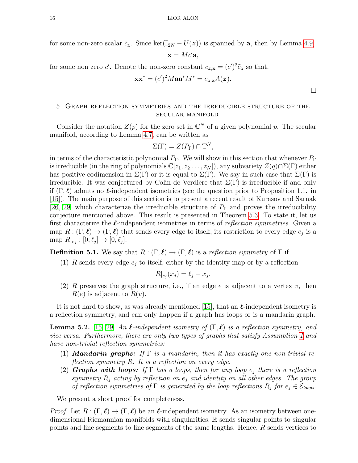for some non-zero scalar  $\tilde{c}_z$ . Since ker( $\mathbb{I}_{2N} - U(z)$ ) is spanned by a, then by Lemma [4.9,](#page-12-2)

$$
\mathbf{x} = Mc'\mathbf{a},
$$

for some non zero c'. Denote the non-zero constant  $c_{\mathbf{z},\mathbf{x}} = (c')^2 \tilde{c}_{\mathbf{z}}$  so that,

$$
\mathbf{x}\mathbf{x}^* = (c')^2 M \mathbf{a}\mathbf{a}^* M^* = c_{\mathbf{z},\mathbf{x}} A(\mathbf{z}).
$$

# <span id="page-15-0"></span>5. Graph reflection symmetries and the irreducible structure of the secular manifold

Consider the notation  $Z(p)$  for the zero set in  $\mathbb{C}^N$  of a given polynomial p. The secular manifold, according to Lemma [4.7,](#page-12-0) can be written as

$$
\Sigma(\Gamma) = Z(P_{\Gamma}) \cap \mathbb{T}^N,
$$

in terms of the characteristic polynomial  $P_{\Gamma}$ . We will show in this section that whenever  $P_{\Gamma}$ is irreducible (in the ring of polynomials  $\mathbb{C}[z_1, z_2, \ldots, z_N]$ ), any subvariety  $Z(q) \cap \Sigma(\Gamma)$  either has positive codimension in  $\Sigma(\Gamma)$  or it is equal to  $\Sigma(\Gamma)$ . We say in such case that  $\Sigma(\Gamma)$  is irreducible. It was conjectured by Colin de Verdière that  $\Sigma(\Gamma)$  is irreducible if and only if  $(\Gamma, \ell)$  admits no  $\ell$ -independent isometries (see the question prior to Proposition 1.1. in [\[15\]](#page-34-13)). The main purpose of this section is to present a recent result of Kurasov and Sarnak [\[26,](#page-34-17) [29\]](#page-35-2) which characterize the irreducible structure of  $P_{\Gamma}$  and proves the irreducibility conjecture mentioned above. This result is presented in Theorem [5.3.](#page-16-0) To state it, let us first characterize the  $\ell$ -independent isometries in terms of *reflection symmetries*. Given a map  $R : (\Gamma, \ell) \to (\Gamma, \ell)$  that sends every edge to itself, its restriction to every edge  $e_j$  is a map  $R|_{e_j} : [0, \ell_j] \to [0, \ell_j].$ 

**Definition 5.1.** We say that  $R : (\Gamma, \ell) \to (\Gamma, \ell)$  is a reflection symmetry of  $\Gamma$  if

(1) R sends every edge  $e_j$  to itself, either by the identity map or by a reflection

$$
R|_{e_j}(x_j) = \ell_j - x_j.
$$

<span id="page-15-1"></span>(2) R preserves the graph structure, i.e., if an edge  $e$  is adjacent to a vertex  $v$ , then  $R(e)$  is adjacent to  $R(v)$ .

It is not hard to show, as was already mentioned [\[15\]](#page-34-13), that an  $\ell$ -independent isometry is a reflection symmetry, and can only happen if a graph has loops or is a mandarin graph.

<span id="page-15-2"></span>**Lemma 5.2.** [\[15,](#page-34-13) [29\]](#page-35-2) An  $\ell$ -independent isometry of  $(\Gamma, \ell)$  is a reflection symmetry, and vice versa. Furthermore, there are only two types of graphs that satisfy Assumption [1](#page-7-2) and have non-trivial reflection symmetries:

- (1) **Mandarin graphs:** If  $\Gamma$  is a mandarin, then it has exactly one non-trivial reflection symmetry R. It is a reflection on every edge.
- (2) **Graphs with loops:** If  $\Gamma$  has a loops, then for any loop  $e_i$  there is a reflection symmetry  $R_j$  acting by reflection on  $e_j$  and identity on all other edges. The group of reflection symmetries of  $\Gamma$  is generated by the loop reflections  $R_i$  for  $e_i \in \mathcal{E}_{\text{loops}}$ .

We present a short proof for completeness.

*Proof.* Let  $R : (\Gamma, \ell) \to (\Gamma, \ell)$  be an  $\ell$ -independent isometry. As an isometry between onedimensional Riemannian manifolds with singularities, R sends singular points to singular points and line segments to line segments of the same lengths. Hence, R sends vertices to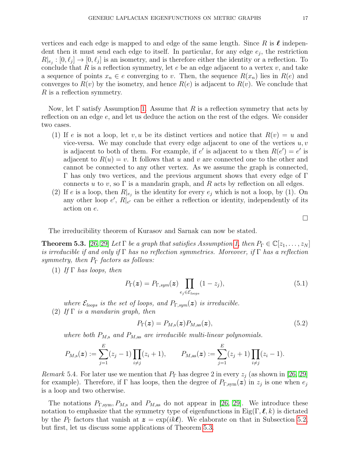vertices and each edge is mapped to and edge of the same length. Since R is  $\ell$  independent then it must send each edge to itself. In particular, for any edge  $e_j$ , the restriction  $R|_{e_j} : [0, \ell_j] \to [0, \ell_j]$  is an isometry, and is therefore either the identity or a reflection. To conclude that  $R$  is a reflection symmetry, let  $e$  be an edge adjacent to a vertex  $v$ , and take a sequence of points  $x_n \in e$  converging to v. Then, the sequence  $R(x_n)$  lies in  $R(e)$  and converges to  $R(v)$  by the isometry, and hence  $R(e)$  is adjacent to  $R(v)$ . We conclude that R is a reflection symmetry.

Now, let  $\Gamma$  satisfy Assumption [1.](#page-7-2) Assume that R is a reflection symmetry that acts by reflection on an edge e, and let us deduce the action on the rest of the edges. We consider two cases.

- (1) If e is not a loop, let v, u be its distinct vertices and notice that  $R(v) = u$  and vice-versa. We may conclude that every edge adjacent to one of the vertices  $u, v$ is adjacent to both of them. For example, if e' is adjacent to u then  $R(e') = e'$  is adjacent to  $R(u) = v$ . It follows that u and v are connected one to the other and cannot be connected to any other vertex. As we assume the graph is connected, Γ has only two vertices, and the previous argument shows that every edge of Γ connects u to v, so  $\Gamma$  is a mandarin graph, and R acts by reflection on all edges.
- (2) If e is a loop, then  $R|_{e_j}$  is the identity for every  $e_j$  which is not a loop, by (1). On any other loop  $e'$ ,  $R|e'$  can be either a reflection or identity, independently of its action on e.

 $\Box$ 

The irreducibility theorem of Kurasov and Sarnak can now be stated.

<span id="page-16-0"></span>**Theorem 5.3.** [\[26,](#page-34-17) [29\]](#page-35-2) Let  $\Gamma$  be a graph that satisfies Assumption [1,](#page-7-2) then  $P_{\Gamma} \in \mathbb{C}[z_1,\ldots,z_N]$ is irreducible if and only if Γ has no reflection symmetries. Moreover, if Γ has a reflection symmetry, then  $P_{\Gamma}$  factors as follows:

(1) If  $\Gamma$  has loops, then

$$
P_{\Gamma}(\boldsymbol{z}) = P_{\Gamma,sym}(\boldsymbol{z}) \prod_{e_j \in \mathcal{E}_{loops}} (1 - z_j), \qquad (5.1)
$$

where  $\mathcal{E}_{loops}$  is the set of loops, and  $P_{\Gamma,sym}(z)$  is irreducible. (2) If  $\Gamma$  is a mandarin graph, then

$$
P_{\Gamma}(\boldsymbol{z}) = P_{M,\mathrm{s}}(\boldsymbol{z}) P_{M,\mathrm{as}}(\boldsymbol{z}), \tag{5.2}
$$

where both  $P_{M,s}$  and  $P_{M,as}$  are irreducible multi-linear polynomials.

$$
P_{M,s}(\boldsymbol{z}) := \sum_{j=1}^{E} (z_j - 1) \prod_{i \neq j} (z_i + 1), \qquad P_{M,\text{as}}(\boldsymbol{z}) := \sum_{j=1}^{E} (z_j + 1) \prod_{i \neq j} (z_i - 1).
$$

<span id="page-16-1"></span>Remark 5.4. For later use we mention that  $P_{\Gamma}$  has degree 2 in every  $z_i$  (as shown in [\[26,](#page-34-17) [29\]](#page-35-2) for example). Therefore, if  $\Gamma$  has loops, then the degree of  $P_{\Gamma,\text{sym}}(z)$  in  $z_j$  is one when  $e_j$ is a loop and two otherwise.

The notations  $P_{\Gamma,\mathrm{sym}}$ ,  $P_{M,\mathrm{a}}$  and  $P_{M,\mathrm{as}}$  do not appear in [\[26,](#page-34-17) [29\]](#page-35-2). We introduce these notation to emphasize that the symmetry type of eigenfunctions in  $Eig(\Gamma, \ell, k)$  is dictated by the  $P_{\Gamma}$  factors that vanish at  $\boldsymbol{z} = \exp(ik\ell)$ . We elaborate on that in Subsection [5.2,](#page-19-0) but first, let us discuss some applications of Theorem [5.3.](#page-16-0)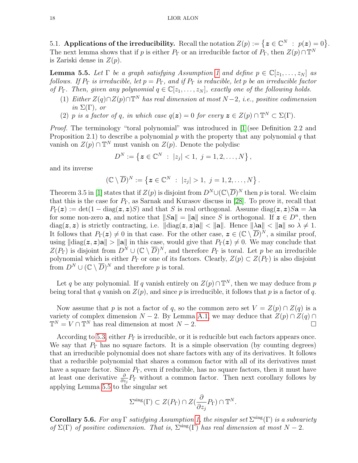5.1. Applications of the irreducibility. Recall the notation  $Z(p) := \{ z \in \mathbb{C}^N : p(z) = 0 \}.$ The next lemma shows that if p is either  $P_{\Gamma}$  or an irreducible factor of  $P_{\Gamma}$ , then  $Z(p) \cap \mathbb{T}^N$ is Zariski dense in  $Z(p)$ .

<span id="page-17-0"></span>**Lemma 5.5.** Let  $\Gamma$  be a graph satisfying Assumption [1](#page-7-2) and define  $p \in \mathbb{C}[z_1, \ldots, z_N]$  as follows. If  $P_{\Gamma}$  is irreducible, let  $p = P_{\Gamma}$ , and if  $P_{\Gamma}$  is reducible, let p be an irreducible factor of  $P_{\Gamma}$ . Then, given any polynomial  $q \in \mathbb{C}[z_1,\ldots,z_N]$ , exactly one of the following holds.

- (1) Either  $Z(q) \cap Z(p) \cap \mathbb{T}^N$  has real dimension at most  $N-2$ , i.e., positive codimension in  $\Sigma(\Gamma)$ , or
- <span id="page-17-2"></span>(2) p is a factor of q, in which case  $q(z) = 0$  for every  $z \in Z(p) \cap \mathbb{T}^N \subset \Sigma(\Gamma)$ .

Proof. The terminology "toral polynomial" was introduced in [\[1\]](#page-34-22)(see Definition 2.2 and Proposition 2.1) to describe a polynomial  $p$  with the property that any polynomial  $q$  that vanish on  $Z(p) \cap \mathbb{T}^N$  must vanish on  $Z(p)$ . Denote the polydisc

$$
D^N := \{ \boldsymbol{z} \in \mathbb{C}^N \; : \; |z_j| < 1, \; j = 1, 2, \ldots, N \},
$$

and its inverse

$$
(\mathbb{C}\setminus\overline{D})^N:=\left\{\boldsymbol{z}\in\mathbb{C}^N\;:\;|z_j|>1,\;j=1,2,\ldots,N\right\}.
$$

Theorem 3.5 in [\[1\]](#page-34-22) states that if  $Z(p)$  is disjoint from  $D^N \cup (\mathbb{C}\setminus \overline{D})^N$  then p is toral. We claim that this is the case for  $P_{\Gamma}$ , as Sarnak and Kurasov discuss in [\[28\]](#page-35-3). To prove it, recall that  $P_{\Gamma}(z) := \det(1 - \text{diag}(z, z)S)$  and that S is real orthogonal. Assume  $\text{diag}(z, z)S$ **a** =  $\lambda$ **a** for some non-zero **a**, and notice that  $||Sa|| = ||a||$  since S is orthogonal. If  $z \in D^n$ , then diag( $z, z$ ) is strictly contracting, i.e.  $\|\text{diag}(z, z)a\| < \|a\|$ . Hence  $\|\lambda a\| < \|a\|$  so  $\lambda \neq 1$ . It follows that  $P_{\Gamma}(z) \neq 0$  in that case. For the other case,  $z \in (\mathbb{C} \setminus \overline{D})^N$ , a similar proof, using  $\|\text{diag}(z, z)a\| > \|a\|$  in this case, would give that  $P_{\Gamma}(z) \neq 0$ . We may conclude that  $Z(P_{\Gamma})$  is disjoint from  $D^N \cup (\mathbb{C} \setminus \overline{D})^N$ , and therefore  $P_{\Gamma}$  is toral. Let p be an irreducible polynomial which is either  $P_{\Gamma}$  or one of its factors. Clearly,  $Z(p) \subset Z(P_{\Gamma})$  is also disjoint from  $D^N \cup (\mathbb{C} \setminus \overline{D})^N$  and therefore p is toral.

Let q be any polynomial. If q vanish entirely on  $Z(p) \cap \mathbb{T}^N$ , then we may deduce from p being toral that q vanish on  $Z(p)$ , and since p is irreducible, it follows that p is a factor of q.

Now assume that p is not a factor of q, so the common zero set  $V = Z(p) \cap Z(q)$  is a variety of complex dimension  $N-2$ . By Lemma [A.1,](#page-33-0) we may deduce that  $Z(p) \cap Z(q) \cap Z(q)$  $\mathbb{T}^N = V \cap \mathbb{T}^N$  has real dimension at most  $N-2$ .

According to [5.3,](#page-16-0) either  $P_{\Gamma}$  is irreducible, or it is reducible but each factors appears once. We say that  $P_{\Gamma}$  has no square factors. It is a simple observation (by counting degrees) that an irreducible polynomial does not share factors with any of its derivatives. It follows that a reducible polynomial that shares a common factor with all of its derivatives must have a square factor. Since  $P_{\Gamma}$ , even if reducible, has no square factors, then it must have at least one derivative  $\frac{\partial}{\partial z_j} P_{\Gamma}$  without a common factor. Then next corollary follows by applying Lemma [5.5](#page-17-0) to the singular set

$$
\Sigma^{\rm sing}(\Gamma) \subset Z(P_{\Gamma}) \cap Z(\frac{\partial}{\partial z_j}P_{\Gamma}) \cap \mathbb{T}^N.
$$

<span id="page-17-1"></span>**Corollary 5.6.** For any  $\Gamma$  satisfying Assumption [1,](#page-7-2) the singular set  $\Sigma^{\text{sing}}(\Gamma)$  is a subvariety of  $\Sigma(\Gamma)$  of positive codimension. That is,  $\Sigma^{\text{sing}}(\Gamma)$  has real dimension at most  $N-2$ .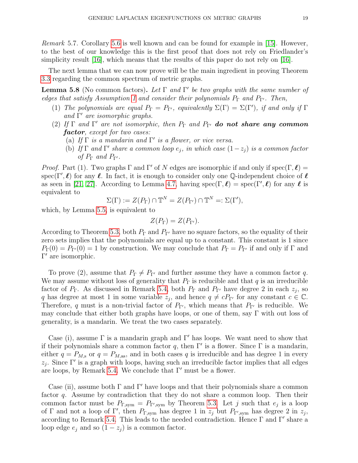<span id="page-18-1"></span>Remark 5.7. Corollary [5.6](#page-17-1) is well known and can be found for example in [\[15\]](#page-34-13). However, to the best of our knowledge this is the first proof that does not rely on Friedlander's simplicity result  $[16]$ , which means that the results of this paper do not rely on  $[16]$ .

The next lemma that we can now prove will be the main ingredient in proving Theorem [3.3](#page-7-1) regarding the common spectrum of metric graphs.

<span id="page-18-0"></span>**Lemma 5.8** (No common factors). Let  $\Gamma$  and  $\Gamma'$  be two graphs with the same number of edges that satisfy Assumption [1](#page-7-2) and consider their polynomials  $P_{\Gamma}$  and  $P_{\Gamma'}$ . Then,

- (1) The polynomials are equal  $P_{\Gamma} = P_{\Gamma}$ , equivalently  $\Sigma(\Gamma) = \Sigma(\Gamma')$ , if and only if  $\Gamma$ and  $\Gamma'$  are isomorphic graphs.
- (2) If  $\Gamma$  and  $\Gamma'$  are not isomorphic, then  $P_{\Gamma}$  and  $P_{\Gamma'}$  do not share any common factor, except for two cases:
	- (a) If  $\Gamma$  is a mandarin and  $\Gamma'$  is a flower, or vice versa.
	- (b) If  $\Gamma$  and  $\Gamma'$  share a common loop  $e_j$ , in which case  $(1-z_j)$  is a common factor of  $P_{\Gamma}$  and  $P_{\Gamma'}$ .

<span id="page-18-2"></span>*Proof.* Part (1). Two graphs  $\Gamma$  and  $\Gamma'$  of N edges are isomorphic if and only if spec( $\Gamma, \ell$ ) = spec(Γ',  $\ell$ ) for any  $\ell$ . In fact, it is enough to consider only one Q-independent choice of  $\ell$ as seen in [\[21,](#page-34-16) [27\]](#page-35-1). According to Lemma [4.7,](#page-12-0) having spec( $\Gamma, \ell$ ) = spec( $\Gamma', \ell$ ) for any  $\ell$  is equivalent to

$$
\Sigma(\Gamma) := Z(P_{\Gamma}) \cap \mathbb{T}^N = Z(P_{\Gamma'}) \cap \mathbb{T}^N =: \Sigma(\Gamma'),
$$

which, by Lemma [5.5,](#page-17-0) is equivalent to

$$
Z(P_{\Gamma})=Z(P_{\Gamma'}).
$$

According to Theorem [5.3,](#page-16-0) both  $P_{\Gamma}$  and  $P_{\Gamma'}$  have no square factors, so the equality of their zero sets implies that the polynomials are equal up to a constant. This constant is 1 since  $P_{\Gamma}(0) = P_{\Gamma}(0) = 1$  by construction. We may conclude that  $P_{\Gamma} = P_{\Gamma'}$  if and only if  $\Gamma$  and  $Γ'$  are isomorphic.

To prove (2), assume that  $P_{\Gamma} \neq P_{\Gamma'}$  and further assume they have a common factor q. We may assume without loss of generality that  $P_{\Gamma}$  is reducible and that q is an irreducible factor of  $P_{\Gamma}$ . As discussed in Remark [5.4,](#page-16-1) both  $P_{\Gamma}$  and  $P_{\Gamma'}$  have degree 2 in each  $z_j$ , so q has degree at most 1 in some variable  $z_j$ , and hence  $q \neq cP_{\Gamma'}$  for any constant  $c \in \mathbb{C}$ . Therefore, q must is a non-trivial factor of  $P_{\Gamma}$ , which means that  $P_{\Gamma}$  is reducible. We may conclude that either both graphs have loops, or one of them, say  $\Gamma$  with out loss of generality, is a mandarin. We treat the two cases separately.

Case (i), assume  $\Gamma$  is a mandarin graph and  $\Gamma'$  has loops. We want need to show that if their polynomials share a common factor q, then  $\Gamma'$  is a flower. Since  $\Gamma$  is a mandarin, either  $q = P_{M,s}$  or  $q = P_{M,as}$ , and in both cases q is irreducible and has degree 1 in every  $z_j$ . Since Γ' is a graph with loops, having such an irreducible factor implies that all edges are loops, by Remark [5.4.](#page-16-1) We conclude that  $\Gamma'$  must be a flower.

Case (ii), assume both  $\Gamma$  and  $\Gamma'$  have loops and that their polynomials share a common factor q. Assume by contradiction that they do not share a common loop. Then their common factor must be  $P_{\Gamma,\text{sym}} = P_{\Gamma',\text{sym}}$  by Theorem [5.3.](#page-16-0) Let j such that  $e_j$  is a loop of  $\Gamma$  and not a loop of  $\Gamma'$ , then  $P_{\Gamma,\text{sym}}$  has degree 1 in  $z_j$  but  $P_{\Gamma',\text{sym}}$  has degree 2 in  $z_j$ , according to Remark [5.4.](#page-16-1) This leads to the needed contradiction. Hence  $\Gamma$  and  $\Gamma'$  share a loop edge  $e_i$  and so  $(1 - z_i)$  is a common factor.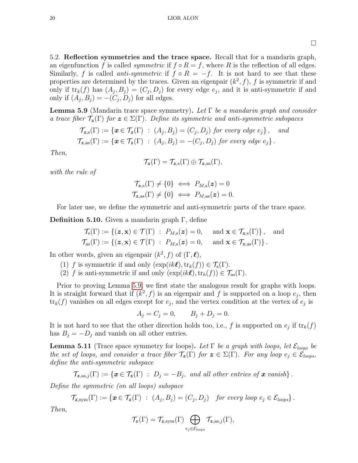$\Box$ 

<span id="page-19-0"></span>5.2. Reflection symmetries and the trace space. Recall that for a mandarin graph, an eigenfunction f is called *symmetric* if  $f \circ R = f$ , where R is the reflection of all edges. Similarly, f is called anti-symmetric if  $f \circ R = -f$ . It is not hard to see that these properties are determined by the traces. Given an eigenpair  $(k^2, f)$ , f is symmetric if and only if  $\text{tr}_k(f)$  has  $(A_j, B_j) = (C_j, D_j)$  for every edge  $e_j$ , and it is anti-symmetric if and only if  $(A_j, B_j) = -(C_j, D_j)$  for all edges.

<span id="page-19-1"></span>**Lemma 5.9** (Mandarin trace space symmetry). Let  $\Gamma$  be a mandarin graph and consider a trace fiber  $\mathcal{T}_{z}(\Gamma)$  for  $z \in \Sigma(\Gamma)$ . Define its symmetric and anti-symmetric subspaces

$$
\mathcal{T}_{\mathbf{z},\mathbf{s}}(\Gamma) := \{ \mathbf{x} \in \mathcal{T}_{\mathbf{z}}(\Gamma) : (A_j, B_j) = (C_j, D_j) \text{ for every edge } e_j \}, \text{ and}
$$
  

$$
\mathcal{T}_{\mathbf{z},\mathbf{as}}(\Gamma) := \{ \mathbf{x} \in \mathcal{T}_{\mathbf{z}}(\Gamma) : (A_j, B_j) = -(C_j, D_j) \text{ for every edge } e_j \}.
$$

Then,

$$
\mathcal{T}_{\bm{z}}(\Gamma)=\mathcal{T}_{\bm{z},s}(\Gamma)\oplus\mathcal{T}_{\bm{z},as}(\Gamma),
$$

with the rule of

$$
\mathcal{T}_{\mathbf{z},\mathbf{s}}(\Gamma) \neq \{0\} \iff P_{M,\mathbf{s}}(\mathbf{z}) = 0
$$
  

$$
\mathcal{T}_{\mathbf{z},\mathbf{as}}(\Gamma) \neq \{0\} \iff P_{M,\mathbf{as}}(\mathbf{z}) = 0.
$$

For later use, we define the symmetric and anti-symmetric parts of the trace space.

**Definition 5.10.** Given a mandarin graph  $\Gamma$ , define

$$
\mathcal{T}_s(\Gamma) := \{ (\boldsymbol{z}, \mathbf{x}) \in \mathcal{T}(\Gamma) : P_{M,s}(\boldsymbol{z}) = 0, \text{ and } \mathbf{x} \in \mathcal{T}_{\boldsymbol{z},s}(\Gamma) \}, \text{ and } \mathcal{T}_{as}(\Gamma) := \{ (\boldsymbol{z}, \mathbf{x}) \in \mathcal{T}(\Gamma) : P_{M,s}(\boldsymbol{z}) = 0, \text{ and } \mathbf{x} \in \mathcal{T}_{\boldsymbol{z},as}(\Gamma) \}.
$$

In other words, given an eigenpair  $(k^2, f)$  of  $(\Gamma, \ell)$ ,

- (1) f is symmetric if and only  $(\exp(ik\ell),\text{tr}_k(f)) \in \mathcal{T}_s(\Gamma)$ .
- (2) f is anti-symmetric if and only  $(\exp(ik\ell),\text{tr}_k(f)) \in \mathcal{T}_{\text{as}}(\Gamma)$ .

Prior to proving Lemma [5.9,](#page-19-1) we first state the analogous result for graphs with loops. It is straight forward that if  $(k^2, f)$  is an eigenpair and f is supported on a loop  $e_j$ , then  $\text{tr}_k(f)$  vanishes on all edges except for  $e_j$ , and the vertex condition at the vertex of  $e_j$  is

$$
A_j = C_j = 0,
$$
  $B_j + D_j = 0.$ 

It is not hard to see that the other direction holds too, i.e., f is supported on  $e_j$  if  $\text{tr}_k(f)$ has  $B_j = -D_j$  and vanish on all other entries.

<span id="page-19-2"></span>**Lemma 5.11** (Trace space symmetry for loops). Let  $\Gamma$  be a graph with loops, let  $\mathcal{E}_{loops}$  be the set of loops, and consider a trace fiber  $\mathcal{T}_{z}(\Gamma)$  for  $z \in \Sigma(\Gamma)$ . For any loop  $e_j \in \mathcal{E}_{loops}$ , define the anti-symmetric subspace

$$
\mathcal{T}_{\mathbf{z},\mathrm{as},j}(\Gamma) := \left\{ \mathbf{x} \in \mathcal{T}_{\mathbf{z}}(\Gamma) \ : \ D_j = -B_j, \text{ and all other entries of } \mathbf{x} \text{ vanish} \right\}.
$$

Define the symmetric (on all loops) subspace

$$
\mathcal{T}_{\mathbf{z},\text{sym}}(\Gamma) := \left\{ \boldsymbol{x} \in \mathcal{T}_{\mathbf{z}}(\Gamma) \ : \ (A_j,B_j) = (C_j,D_j) \ \text{for every loop } e_j \in \mathcal{E}_{\text{loops}} \right\}.
$$

Then,

$$
\mathcal{T}_{\mathbf{z}}(\Gamma) = \mathcal{T}_{\mathbf{z}, \text{sym}}(\Gamma) \bigoplus_{e_j \in \mathcal{E}_{\text{loops}}} \mathcal{T}_{\mathbf{z}, \text{as}, j}(\Gamma),
$$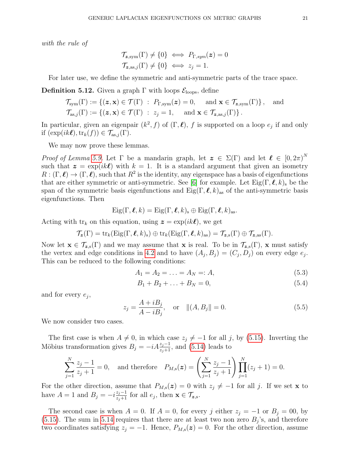with the rule of

$$
\mathcal{T}_{\mathbf{z},\text{sym}}(\Gamma) \neq \{0\} \iff P_{\Gamma,sym}(\mathbf{z}) = 0
$$
  

$$
\mathcal{T}_{\mathbf{z},\text{as},j}(\Gamma) \neq \{0\} \iff z_j = 1.
$$

For later use, we define the symmetric and anti-symmetric parts of the trace space.

<span id="page-20-0"></span>**Definition 5.12.** Given a graph  $\Gamma$  with loops  $\mathcal{E}_{\text{loops}}$ , define

$$
\mathcal{T}_{sym}(\Gamma) := \{ (\boldsymbol{z}, \mathbf{x}) \in \mathcal{T}(\Gamma) : P_{\Gamma, sym}(\boldsymbol{z}) = 0, \text{ and } \mathbf{x} \in \mathcal{T}_{\boldsymbol{z}, sym}(\Gamma) \}, \text{ and}
$$
  

$$
\mathcal{T}_{\mathrm{as},j}(\Gamma) := \{ (\boldsymbol{z}, \mathbf{x}) \in \mathcal{T}(\Gamma) : z_j = 1, \text{ and } \mathbf{x} \in \mathcal{T}_{\boldsymbol{z}, \mathrm{as},j}(\Gamma) \}.
$$

In particular, given an eigenpair  $(k^2, f)$  of  $(\Gamma, \ell)$ , f is supported on a loop  $e_j$  if and only if  $(\exp(ik\ell),\text{tr}_k(f)) \in \mathcal{T}_{\text{as},j}(\Gamma).$ 

We may now prove these lemmas.

Proof of Lemma [5.9.](#page-19-1) Let  $\Gamma$  be a mandarin graph, let  $\mathbf{z} \in \Sigma(\Gamma)$  and let  $\mathbf{\ell} \in [0, 2\pi)^N$ such that  $z = \exp(ik\ell)$  with  $k = 1$ . It is a standard argument that given an isometry  $R: (\Gamma, \ell) \to (\Gamma, \ell)$ , such that  $R^2$  is the identity, any eigenspace has a basis of eigenfunctions that are either symmetric or anti-symmetric. See [\[6\]](#page-34-20) for example. Let  $Eig(\Gamma, \ell, k)$  be the span of the symmetric basis eigenfunctions and  $Eig(\Gamma, \ell, k)_{\text{as}}$  of the anti-symmetric basis eigenfunctions. Then

$$
Eig(\Gamma, \ell, k) = Eig(\Gamma, \ell, k)_s \oplus Eig(\Gamma, \ell, k)_{\mathrm{as}}.
$$

Acting with  $\text{tr}_k$  on this equation, using  $\boldsymbol{z} = \exp(ik\boldsymbol{\ell})$ , we get

$$
\mathcal{T}_{\mathbf{z}}(\Gamma) = \mathrm{tr}_{k}(\mathrm{Eig}(\Gamma, \boldsymbol{\ell}, k)_{s}) \oplus \mathrm{tr}_{k}(\mathrm{Eig}(\Gamma, \boldsymbol{\ell}, k)_{\mathrm{as}}) = \mathcal{T}_{\mathbf{z}, s}(\Gamma) \oplus \mathcal{T}_{\mathbf{z}, \mathrm{as}}(\Gamma).
$$

Now let  $\mathbf{x} \in \mathcal{T}_{z,s}(\Gamma)$  and we may assume that  $\mathbf{x}$  is real. To be in  $\mathcal{T}_{z,s}(\Gamma)$ ,  $\mathbf{x}$  must satisfy the vertex and edge conditions in [4.2](#page-9-0) and to have  $(A_j, B_j) = (C_j, D_j)$  on every edge  $e_j$ . This can be reduced to the following conditions:

$$
A_1 = A_2 = \ldots = A_N =: A,\tag{5.3}
$$

$$
B_1 + B_2 + \ldots + B_N = 0,\t\t(5.4)
$$

and for every  $e_j$ ,

$$
z_j = \frac{A + iB_j}{A - iB_j}, \quad \text{or} \quad ||(A, B_j|| = 0.
$$
 (5.5)

We now consider two cases.

The first case is when  $A \neq 0$ , in which case  $z_j \neq -1$  for all j, by [\(5.15\)](#page-23-1). Inverting the Möbius transformation gives  $B_j = -iA\frac{z_j-1}{z_j+1}$ , and [\(5.14\)](#page-23-2) leads to

$$
\sum_{j=1}^{N} \frac{z_j - 1}{z_j + 1} = 0, \text{ and therefore } P_{M,s}(z) = \left(\sum_{j=1}^{N} \frac{z_j - 1}{z_j + 1}\right) \prod_{j=1}^{N} (z_j + 1) = 0.
$$

For the other direction, assume that  $P_{M,s}(z) = 0$  with  $z_j \neq -1$  for all j. If we set x to have  $A = 1$  and  $B_j = -i \frac{z_j - 1}{z_j + 1}$  for all  $e_j$ , then  $\mathbf{x} \in \mathcal{T}_{\mathbf{z},\mathbf{s}}$ .

The second case is when  $A = 0$ . If  $A = 0$ , for every j either  $z_j = -1$  or  $B_j = 00$ , by  $(5.15)$ . The sum in [5.14](#page-23-2) requires that there are at least two non zero  $B_j$ 's, and therefore two coordinates satisfying  $z_j = -1$ . Hence,  $P_{M,s}(z) = 0$ . For the other direction, assume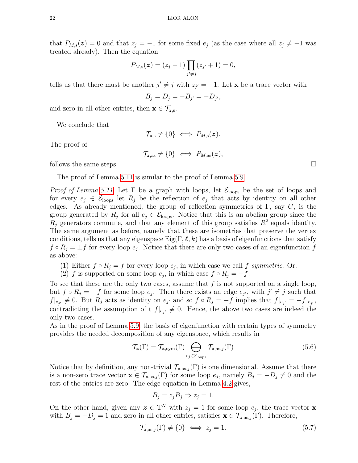that  $P_{M,s}(z) = 0$  and that  $z_j = -1$  for some fixed  $e_j$  (as the case where all  $z_j \neq -1$  was treated already). Then the equation

$$
P_{M,s}(\boldsymbol{z}) = (z_j - 1) \prod_{j' \neq j} (z_{j'} + 1) = 0,
$$

tells us that there must be another  $j' \neq j$  with  $z_{j'} = -1$ . Let **x** be a trace vector with

$$
B_j=D_j=-B_{j'}=-D_{j'},
$$

and zero in all other entries, then  $\mathbf{x} \in \mathcal{T}_{z,s}$ .

We conclude that

$$
\mathcal{T}_{z,s} \neq \{0\} \iff P_{M,s}(z).
$$

The proof of

$$
\mathcal{T}_{\mathbf{z},\mathrm{as}} \neq \{0\} \iff P_{M,\mathrm{as}}(\mathbf{z}),
$$

follows the same steps.

The proof of Lemma [5.11](#page-19-2) is similar to the proof of Lemma [5.9.](#page-19-1)

*Proof of Lemma [5.11.](#page-19-2)* Let  $\Gamma$  be a graph with loops, let  $\mathcal{E}_{\text{loops}}$  be the set of loops and for every  $e_j \in \mathcal{E}_{\text{loops}}$  let  $R_j$  be the reflection of  $e_j$  that acts by identity on all other edges. As already mentioned, the group of reflection symmetries of  $\Gamma$ , say  $G$ , is the group generated by  $R_j$  for all  $e_j \in \mathcal{E}_{\text{loops}}$ . Notice that this is an abelian group since the  $R_j$  generators commute, and that any element of this group satisfies  $R^2$  equals identity. The same argument as before, namely that these are isometries that preserve the vertex conditions, tells us that any eigenspace  $\text{Eig}(\Gamma, \ell, k)$  has a basis of eigenfunctions that satisfy  $f \circ R_j = \pm f$  for every loop  $e_j$ . Notice that there are only two cases of an eigenfunction f as above:

- (1) Either  $f \circ R_j = f$  for every loop  $e_j$ , in which case we call f symmetric. Or,
- (2) f is supported on some loop  $e_j$ , in which case  $f \circ R_j = -f$ .

To see that these are the only two cases, assume that  $f$  is not supported on a single loop, but  $f \circ R_j = -f$  for some loop  $e_j$ . Then there exists an edge  $e_{j'}$ , with  $j' \neq j$  such that  $f|_{e_{j'}} \not\equiv 0$ . But  $R_j$  acts as identity on  $e_{j'}$  and so  $f \circ R_j = -f$  implies that  $f|_{e_{j'}} = -f|_{e_{j'}}$ , contradicting the assumption of t  $f|_{e_{j'}} \not\equiv 0$ . Hence, the above two cases are indeed the only two cases.

As in the proof of Lemma [5.9,](#page-19-1) the basis of eigenfunction with certain types of symmetry provides the needed decomposition of any eigenspace, which results in

<span id="page-21-0"></span>
$$
\mathcal{T}_{\mathbf{z}}(\Gamma) = \mathcal{T}_{\mathbf{z}, \text{sym}}(\Gamma) \bigoplus_{e_j \in \mathcal{E}_{\text{loops}}} \mathcal{T}_{\mathbf{z}, \text{as}, j}(\Gamma) \tag{5.6}
$$

Notice that by definition, any non-trivial  $\mathcal{T}_{z,as,j}(\Gamma)$  is one dimensional. Assume that there is a non-zero trace vector  $\mathbf{x} \in \mathcal{T}_{\mathbf{z},\text{as},j}(\Gamma)$  for some loop  $e_j$ , namely  $B_j = -D_j \neq 0$  and the rest of the entries are zero. The edge equation in Lemma [4.2](#page-9-0) gives,

$$
B_j = z_j B_j \Rightarrow z_j = 1.
$$

On the other hand, given any  $\boldsymbol{z} \in \mathbb{T}^N$  with  $z_j = 1$  for some loop  $e_j$ , the trace vector **x** with  $B_j = -D_j = 1$  and zero in all other entries, satisfies  $\mathbf{x} \in \mathcal{T}_{z,as,j}(\Gamma)$ . Therefore,

<span id="page-21-1"></span>
$$
\mathcal{T}_{\mathbf{z},\mathrm{as},j}(\Gamma) \neq \{0\} \iff z_j = 1. \tag{5.7}
$$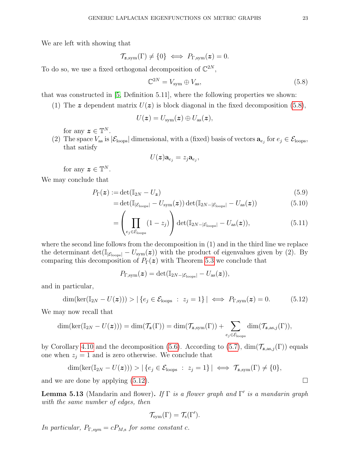We are left with showing that

$$
\mathcal{T}_{\mathbf{z},\mathrm{sym}}(\Gamma) \neq \{0\} \iff P_{\Gamma,\mathrm{sym}}(\mathbf{z}) = 0.
$$

To do so, we use a fixed orthogonal decomposition of  $\mathbb{C}^{2N}$ ,

<span id="page-22-0"></span>
$$
\mathbb{C}^{2N} = V_{\text{sym}} \oplus V_{\text{as}},\tag{5.8}
$$

that was constructed in [\[5,](#page-34-23) Definition 5.11], where the following properties we shown:

(1) The z dependent matrix  $U(z)$  is block diagonal in the fixed decomposition [\(5.8\)](#page-22-0),

$$
U({\bm{z}})=U_{\text{sym}}({\bm{z}})\oplus U_{\text{as}}({\bm{z}}),
$$

for any  $\boldsymbol{z} \in \mathbb{T}^N$ .

(2) The space  $V_{\text{as}}$  is  $|\mathcal{E}_{\text{loops}}|$  dimensional, with a (fixed) basis of vectors  $\mathbf{a}_{e_j}$  for  $e_j \in \mathcal{E}_{\text{loops}}$ , that satisfy

$$
U(\bm{z})\mathbf{a}_{e_j}=z_j\mathbf{a}_{e_j},
$$

for any  $\boldsymbol{z} \in \mathbb{T}^N$ .

We may conclude that

$$
P_{\Gamma}(\boldsymbol{z}) := \det(\mathbb{I}_{2N} - U_{\boldsymbol{z}}) \tag{5.9}
$$

$$
= \det(\mathbb{I}_{|\mathcal{E}_{\text{loops}}|} - U_{\text{sym}}(\boldsymbol{z})) \det(\mathbb{I}_{2N-|\mathcal{E}_{\text{loops}}|} - U_{\text{as}}(\boldsymbol{z})) \tag{5.10}
$$

$$
= \left(\prod_{e_j \in \mathcal{E}_{\text{loops}}} (1 - z_j)\right) \det(\mathbb{I}_{2N - |\mathcal{E}_{\text{loops}}|} - U_{\text{as}}(\boldsymbol{z})), \tag{5.11}
$$

where the second line follows from the decomposition in (1) and in the third line we replace the determinant det( $\mathbb{I}_{|\mathcal{E}_{\text{loops}}|} - U_{\text{sym}}(z)$ ) with the product of eigenvalues given by (2). By comparing this decomposition of  $P_{\Gamma}(z)$  with Theorem [5.3](#page-16-0) we conclude that

$$
P_{\Gamma,\mathrm{sym}}(\boldsymbol{z})=\det(\mathbb{I}_{2N-|\mathcal{E}_{\mathrm{loops}}|}-U_{\mathrm{as}}(\boldsymbol{z})),
$$

and in particular,

<span id="page-22-1"></span>
$$
\dim(\ker(\mathbb{I}_{2N} - U(\boldsymbol{z}))) > |\{e_j \in \mathcal{E}_{\text{loops}} : z_j = 1\}| \iff P_{\Gamma,\text{sym}}(\boldsymbol{z}) = 0. \tag{5.12}
$$

We may now recall that

$$
\dim(\ker(\mathbb{I}_{2N}-U(\boldsymbol{z}))) = \dim(\mathcal{T}_{\boldsymbol{z}}(\Gamma)) = \dim(\mathcal{T}_{\boldsymbol{z},\text{sym}}(\Gamma)) + \sum_{e_j \in \mathcal{E}_{\text{loops}}} \dim(\mathcal{T}_{\boldsymbol{z},\text{as},j}(\Gamma)),
$$

by Corollary [4.10](#page-12-1) and the decomposition [\(5.6\)](#page-21-0). According to [\(5.7\)](#page-21-1),  $\dim(\mathcal{T}_{z,as,j}(\Gamma))$  equals one when  $z_j = 1$  and is zero otherwise. We conclude that

$$
\dim(\ker(\mathbb{I}_{2N}-U(\boldsymbol{z}))) > |\{e_j \in \mathcal{E}_{\text{loops}} \; : \; z_j = 1\}| \iff \mathcal{T}_{\mathbf{z},\text{sym}}(\Gamma) \neq \{0\},\
$$

and we are done by applying  $(5.12)$ .

<span id="page-22-2"></span>**Lemma 5.13** (Mandarin and flower). If  $\Gamma$  is a flower graph and  $\Gamma'$  is a mandarin graph with the same number of edges, then

$$
\mathcal{T}_{sym}(\Gamma)=\mathcal{T}_{s}(\Gamma').
$$

In particular,  $P_{\Gamma,sym} = c P_{M,s}$  for some constant c.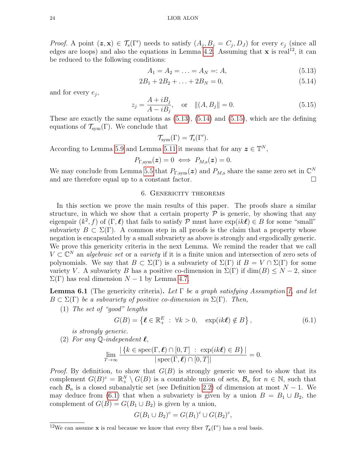*Proof.* A point  $(z, x) \in \mathcal{T}_s(\Gamma')$  needs to satisfy  $(A_j, B_j = C_j, D_J)$  for every  $e_j$  (since all edges are loops) and also the equations in Lemma [4.2.](#page-9-0) Assuming that **x** is real<sup>12</sup>, it can be reduced to the following conditions:

<span id="page-23-3"></span><span id="page-23-2"></span>
$$
A_1 = A_2 = \ldots = A_N =: A,\tag{5.13}
$$

$$
2B_1 + 2B_2 + \ldots + 2B_N = 0,\t(5.14)
$$

and for every  $e_j$ ,

<span id="page-23-1"></span>
$$
z_j = \frac{A + iB_j}{A - iB_j}, \quad \text{or} \quad ||(A, B_j|| = 0.
$$
 (5.15)

These are exactly the same equations as [\(5.13\)](#page-23-3), [\(5.14\)](#page-23-2) and [\(5.15\)](#page-23-1), which are the defining equations of  $\mathcal{T}_{sym}(\Gamma)$ . We conclude that

$$
\mathcal{T}_{sym}(\Gamma)=\mathcal{T}_{s}(\Gamma').
$$

According to Lemma [5.9](#page-19-1) and Lemma [5.11](#page-19-2) it means that for any  $\boldsymbol{z} \in \mathbb{T}^N$ ,

$$
P_{\Gamma,\mathrm{sym}}(z)=0 \iff P_{M,\mathrm{s}}(z)=0.
$$

We may conclude from Lemma [5.5](#page-17-0) that  $P_{\Gamma,\text{sym}}(z)$  and  $P_{M,s}$  share the same zero set in  $\mathbb{C}^N$ and are therefore equal up to a constant factor.

### 6. Genericity theorems

In this section we prove the main results of this paper. The proofs share a similar structure, in which we show that a certain property  $P$  is generic, by showing that any eigenpair  $(k^2, f)$  of  $(\Gamma, \ell)$  that fails to satisfy P must have  $\exp(ik\ell) \in B$  for some "small" subvariety  $B \subset \Sigma(\Gamma)$ . A common step in all proofs is the claim that a property whose negation is encapsulated by a small subvariety as above is strongly and ergodically generic. We prove this genericity criteria in the next Lemma. We remind the reader that we call  $V \subset \mathbb{C}^N$  an *algebraic set* or a *variety* if it is a finite union and intersection of zero sets of polynomials. We say that  $B \subset \Sigma(\Gamma)$  is a subvariety of  $\Sigma(\Gamma)$  if  $B = V \cap \Sigma(\Gamma)$  for some variety V. A subvariety B has a positive co-dimension in  $\Sigma(\Gamma)$  if  $\dim(B) \leq N-2$ , since  $\Sigma(\Gamma)$  has real dimension  $N-1$  by Lemma [4.7.](#page-12-0)

<span id="page-23-0"></span>**Lemma 6.1** (The genericity criteria). Let  $\Gamma$  be a graph satisfying Assumption [1,](#page-7-2) and let  $B \subset \Sigma(\Gamma)$  be a subvariety of positive co-dimension in  $\Sigma(\Gamma)$ . Then,

(1) The set of "good" lengths

<span id="page-23-4"></span>
$$
G(B) = \left\{ \ell \in \mathbb{R}_+^E : \forall k > 0, \quad \exp(ik\ell) \notin B \right\},\tag{6.1}
$$

is strongly generic.

<span id="page-23-5"></span>(2) For any 
$$
\mathbb{Q}
$$
-independent  $\ell$ ,

$$
\lim_{T \to \infty} \frac{|\{k \in \text{spec}(\Gamma, \ell) \cap [0, T] : \exp(ik\ell) \in B\}|}{|\text{spec}(\Gamma, \ell) \cap [0, T]|} = 0.
$$

*Proof.* By definition, to show that  $G(B)$  is strongly generic we need to show that its complement  $G(B)^c = \mathbb{R}^N_+ \setminus G(B)$  is a countable union of sets,  $\mathcal{B}_n$  for  $n \in \mathbb{N}$ , such that each  $\mathcal{B}_n$  is a closed subanalytic set (see Definition [2.2\)](#page-6-0) of dimension at most  $N-1$ . We may deduce from [\(6.1\)](#page-23-4) that when a subvariety is given by a union  $B = B_1 \cup B_2$ , the complement of  $G(B) = G(B_1 \cup B_2)$  is given by a union,

$$
G(B_1 \cup B_2)^c = G(B_1)^c \cup G(B_2)^c,
$$

<sup>&</sup>lt;sup>12</sup>We can assume **x** is real because we know that every fiber  $\mathcal{T}_{z}(\Gamma')$  has a real basis.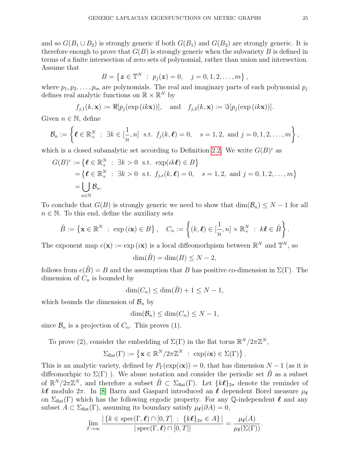and so  $G(B_1 \cup B_2)$  is strongly generic if both  $G(B_1)$  and  $G(B_2)$  are strongly generic. It is therefore enough to prove that  $G(B)$  is strongly generic when the subvariety B is defined in terms of a finite intersection of zero sets of polynomial, rather than union and intersection. Assume that

$$
B = \{ \boldsymbol{z} \in \mathbb{T}^N \; : \; p_j(\boldsymbol{z}) = 0, \quad j = 0, 1, 2, \dots, m \}
$$

where  $p_1, p_2, \ldots, p_m$  are polynomials. The real and imaginary parts of each polynomial  $p_j$ defines real analytic functions on  $\mathbb{R} \times \mathbb{R}^N$  by

$$
f_{j,1}(k, \mathbf{x}) := \Re[p_j(\exp(ik\mathbf{x}))],
$$
 and  $f_{j,2}(k, \mathbf{x}) := \Im[p_j(\exp(ik\mathbf{x}))].$ 

Given  $n \in \mathbb{N}$ , define

$$
\mathcal{B}_n := \left\{ \boldsymbol{\ell} \in \mathbb{R}^N_+ \; : \; \exists k \in [\frac{1}{n}, n] \; \text{ s.t. } f_j(k, \boldsymbol{\ell}) = 0, \quad s = 1, 2, \text{ and } j = 0, 1, 2, \ldots, m \right\},\
$$

which is a closed subanalytic set according to Definition [2.2.](#page-6-0) We write  $G(B)^c$  as

$$
G(B)^c := \{ \ell \in \mathbb{R}_+^N : \exists k > 0 \text{ s.t. } \exp(ik\ell) \in B \}
$$
  
=  $\{ \ell \in \mathbb{R}_+^N : \exists k > 0 \text{ s.t. } f_{j,s}(k, \ell) = 0, s = 1, 2, \text{ and } j = 0, 1, 2, ..., m \}$   
=  $\bigcup_{n \in \mathbb{N}} \mathcal{B}_n$ .

To conclude that  $G(B)$  is strongly generic we need to show that  $\dim(\mathcal{B}_n) \leq N-1$  for all  $n \in \mathbb{N}$ . To this end, define the auxiliary sets

$$
\tilde{B} := \left\{ \mathbf{x} \in \mathbb{R}^N \; : \; \exp(i\mathbf{x}) \in B \right\}, \quad C_n := \left\{ (k,\boldsymbol{\ell}) \in [\frac{1}{n},n] \times \mathbb{R}^N_+ \; : \; k\boldsymbol{\ell} \in \tilde{B} \right\}.
$$

The exponent map  $e(\mathbf{x}) := \exp(i\mathbf{x})$  is a local diffeomorhpism between  $\mathbb{R}^N$  and  $\mathbb{T}^N$ , so

$$
\dim(\tilde{B}) = \dim(B) \le N - 2,
$$

follows from  $e(\tilde{B}) = B$  and the assumption that B has positive co-dimension in  $\Sigma(\Gamma)$ . The dimension of  $C_n$  is bounded by

$$
\dim(C_n) \le \dim(\tilde{B}) + 1 \le N - 1,
$$

which bounds the dimension of  $\mathcal{B}_n$  by

$$
\dim(\mathcal{B}_n) \le \dim(C_n) \le N - 1,
$$

since  $\mathcal{B}_n$  is a projection of  $C_n$ . This proves (1).

To prove (2), consider the embedding of  $\Sigma(\Gamma)$  in the flat torus  $\mathbb{R}^N/2\pi\mathbb{Z}^N$ ,

$$
\Sigma_{\text{flat}}(\Gamma) := \left\{ \mathbf{x} \in \mathbb{R}^N / 2\pi \mathbb{Z}^N \ : \ \exp(i\mathbf{x}) \in \Sigma(\Gamma) \right\}
$$

This is an analytic variety, defined by  $P_{\Gamma}(\exp(i\mathbf{x})) = 0$ , that has dimension  $N - 1$  (as it is diffeomorhpic to  $\Sigma(\Gamma)$ ). We abuse notation and consider the periodic set  $\tilde{B}$  as a subset of  $\mathbb{R}^N/2\pi\mathbb{Z}^N$ , and therefore a subset  $\tilde{B}\subset \Sigma_{\text{flat}}(\Gamma)$ . Let  $\{k\ell\}_{2\pi}$  denote the reminder of k $\ell$  modulo  $2\pi$ . In [\[8\]](#page-34-10) Barra and Gaspard introduced an  $\ell$  dependent Borel measure  $\mu_{\ell}$ on  $\Sigma_{\text{flat}}(\Gamma)$  which has the following ergodic property. For any Q-independent  $\ell$  and any subset  $A \subset \Sigma_{\text{flat}}(\Gamma)$ , assuming its boundary satisfy  $\mu_{\ell}(\partial A) = 0$ ,

$$
\lim_{T\to\infty}\frac{|\{k\in \mathrm{spec}(\Gamma,\boldsymbol{\ell})\cap[0,T]\;:\; \{k\boldsymbol{\ell}\}_{2\pi}\in A\}|}{|\mathrm{spec}(\Gamma,\boldsymbol{\ell})\cap[0,T]|}=\frac{\mu_{\boldsymbol{\ell}}(A)}{\mu_{\boldsymbol{\ell}}(\Sigma(\Gamma))}.
$$

,

.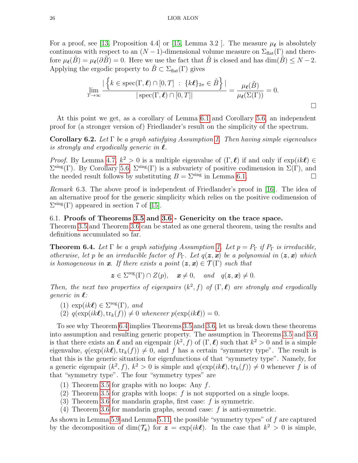For a proof, see [\[13,](#page-34-12) Proposition 4.4] or [\[15,](#page-34-13) Lemma 3.2 ]. The measure  $\mu_{\ell}$  is absolutely continuous with respect to an  $(N-1)$ -dimensional volume measure on  $\Sigma_{\text{flat}}(\Gamma)$  and therefore  $\mu_{\ell}(B) = \mu_{\ell}(\partial B) = 0$ . Here we use the fact that B is closed and has dim(B)  $\leq N - 2$ . Applying the ergodic property to  $\tilde{B} \subset \Sigma_{\text{flat}}(\Gamma)$  gives

$$
\lim_{T \to \infty} \frac{|\left\{k \in \text{spec}(\Gamma, \ell) \cap [0, T] : \{k\ell\}_{2\pi} \in \tilde{B}\right\}|}{|\text{spec}(\Gamma, \ell) \cap [0, T]|} = \frac{\mu_{\ell}(\tilde{B})}{\mu_{\ell}(\Sigma(\Gamma))} = 0.
$$

At this point we get, as a corollary of Lemma [6.1](#page-23-0) and Corollary [5.6,](#page-17-1) an independent proof for (a stronger version of) Friedlander's result on the simplicity of the spectrum.

Corollary 6.2. Let  $\Gamma$  be a graph satisfying Assumption [1.](#page-7-2) Then having simple eigenvalues is strongly and ergodically generic in  $\ell$ .

*Proof.* By Lemma [4.7,](#page-12-0)  $k^2 > 0$  is a multiple eigenvalue of  $(\Gamma, \ell)$  if and only if  $\exp(ik\ell) \in$  $\Sigma^{\rm sing}(\Gamma)$ . By Corollary [5.6,](#page-17-1)  $\Sigma^{\rm sing}(\Gamma)$  is a subvariety of positive codimension in  $\Sigma(\Gamma)$ , and the needed result follows by substituting  $B = \sum^{\text{sing}}$  in Lemma [6.1.](#page-23-0)

<span id="page-25-1"></span>Remark 6.3. The above proof is independent of Friedlander's proof in [\[16\]](#page-34-0). The idea of an alternative proof for the generic simplicity which relies on the positive codimension of  $\Sigma^{\text{sing}}(\Gamma)$  appeared in section 7 of [\[15\]](#page-34-13).

# 6.1. Proofs of Theorems [3.5](#page-8-0) and [3.6](#page-9-4) - Genericity on the trace space.

Theorem [3.5](#page-8-0) and Theorem [3.6](#page-9-4) can be stated as one general theorem, using the results and definitions accumulated so far.

<span id="page-25-0"></span>**Theorem 6.4.** Let  $\Gamma$  be a graph satisfying Assumption [1.](#page-7-2) Let  $p = P_{\Gamma}$  if  $P_{\Gamma}$  is irreducible, otherwise, let p be an irreducible factor of  $P_{\Gamma}$ . Let  $q(z, x)$  be a polynomial in  $(z, x)$  which is homogeneous in x. If there exists a point  $(z, x) \in \mathcal{T}(\Gamma)$  such that

 $z \in \Sigma^{\text{reg}}(\Gamma) \cap Z(p)$ ,  $x \neq 0$ , and  $q(z, x) \neq 0$ .

Then, the next two properties of eigenpairs  $(k^2, f)$  of  $(\Gamma, \ell)$  are strongly and ergodically generic in  $\ell$ :

- (1)  $\exp(ik\ell) \in \Sigma^{\text{reg}}(\Gamma)$ , and
- (2)  $q(\exp(ik\ell), \text{tr}_k(f)) \neq 0$  whenever  $p(\exp(ik\ell)) = 0$ .

To see why Theorem [6.4](#page-25-0) implies Theorems [3.5](#page-8-0) and [3.6,](#page-9-4) let us break down these theorems into assumption and resulting generic property. The assumption in Theorems [3.5](#page-8-0) and [3.6](#page-9-4) is that there exists an  $\ell$  and an eigenpair  $(k^2, f)$  of  $(\Gamma, \ell)$  such that  $k^2 > 0$  and is a simple eigenvalue,  $q(\exp(ik\ell),\text{tr}_k(f)) \neq 0$ , and f has a certain "symmetry type". The result is that this is the generic situation for eigenfunctions of that "symmetry type". Namely, for a generic eigenpair  $(k^2, f)$ ,  $k^2 > 0$  is simple and  $q(\exp(ik\ell), \text{tr}_k(f)) \neq 0$  whenever f is of that "symmetry type". The four "symmetry types" are

- (1) Theorem [3.5](#page-8-0) for graphs with no loops: Any  $f$ .
- (2) Theorem [3.5](#page-8-0) for graphs with loops: f is not supported on a single loops.
- (3) Theorem [3.6](#page-9-4) for mandarin graphs, first case:  $f$  is symmetric.
- (4) Theorem [3.6](#page-9-4) for mandarin graphs, second case:  $f$  is anti-symmetric.

As shown in Lemma [5.9](#page-19-1) and Lemma [5.11,](#page-19-2) the possible "symmetry types" of  $f$  are captured by the decomposition of  $\dim(\mathcal{T}_z)$  for  $z = \exp(ik\ell)$ . In the case that  $k^2 > 0$  is simple,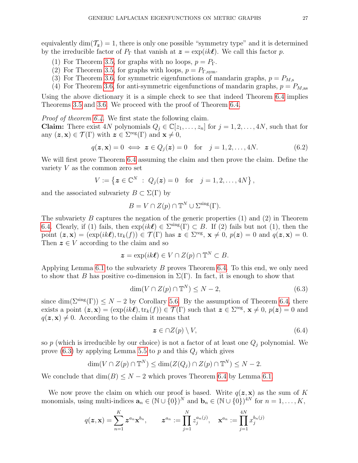equivalently dim( $\mathcal{T}_z$ ) = 1, there is only one possible "symmetry type" and it is determined by the irreducible factor of  $P_{\Gamma}$  that vanish at  $\boldsymbol{z} = \exp(ik\ell)$ . We call this factor p.

- (1) For Theorem [3.5,](#page-8-0) for graphs with no loops,  $p = P_{\Gamma}$ .
- (2) For Theorem [3.5,](#page-8-0) for graphs with loops,  $p = P_{\text{T,sym}}$ .
- (3) For Theorem [3.6,](#page-9-4) for symmetric eigenfunctions of mandarin graphs,  $p = P_{M,s}$
- (4) For Theorem [3.6,](#page-9-4) for anti-symmetric eigenfunctions of mandarin graphs,  $p = P_{M,as}$

Using the above dictionary it is a simple check to see that indeed Theorem [6.4](#page-25-0) implies Theorems [3.5](#page-8-0) and [3.6.](#page-9-4) We proceed with the proof of Theorem [6.4.](#page-25-0)

Proof of theorem [6.4.](#page-25-0) We first state the following claim.

**Claim:** There exist 4N polynomials  $Q_j \in \mathbb{C}[z_1,\ldots,z_n]$  for  $j=1,2,\ldots,4N$ , such that for any  $(z, x) \in \mathcal{T}(\Gamma)$  with  $z \in \Sigma^{\text{reg}}(\Gamma)$  and  $x \neq 0$ ,

$$
q(\mathbf{z}, \mathbf{x}) = 0 \iff \mathbf{z} \in Q_j(\mathbf{z}) = 0 \quad \text{for} \quad j = 1, 2, \dots, 4N. \tag{6.2}
$$

We will first prove Theorem [6.4](#page-25-0) assuming the claim and then prove the claim. Define the variety V as the common zero set

$$
V := \{ \boldsymbol{z} \in \mathbb{C}^N \; : \; Q_j(\boldsymbol{z}) = 0 \quad \text{for} \quad j = 1, 2, \dots, 4N \},
$$

and the associated subvariety  $B \subset \Sigma(\Gamma)$  by

$$
B = V \cap Z(p) \cap \mathbb{T}^N \cup \Sigma^{\text{sing}}(\Gamma).
$$

The subvariety  $B$  captures the negation of the generic properties  $(1)$  and  $(2)$  in Theorem [6.4.](#page-25-0) Clearly, if (1) fails, then  $\exp(ik\ell) \in \Sigma^{\text{sing}}(\Gamma) \subset B$ . If (2) fails but not (1), then the point  $(z, x) = (\exp(ik\ell), \text{tr}_k(f)) \in \mathcal{T}(\Gamma)$  has  $z \in \Sigma^{\text{reg}}, x \neq 0, p(z) = 0$  and  $q(z, x) = 0$ . Then  $z \in V$  according to the claim and so

$$
\boldsymbol{z} = \exp(ik\boldsymbol{\ell}) \in V \cap Z(p) \cap \mathbb{T}^N \subset B.
$$

Applying Lemma [6.1](#page-23-0) to the subvariety B proves Theorem [6.4.](#page-25-0) To this end, we only need to show that B has positive co-dimension in  $\Sigma(\Gamma)$ . In fact, it is enough to show that

<span id="page-26-0"></span>
$$
\dim(V \cap Z(p) \cap \mathbb{T}^N) \le N - 2,\tag{6.3}
$$

since dim( $\Sigma^{\rm sing}(\Gamma)$ )  $\leq N-2$  by Corollary [5.6.](#page-17-1) By the assumption of Theorem [6.4,](#page-25-0) there exists a point  $(z, x) = (\exp(ik\ell), \text{tr}_k(f)) \in \mathcal{T}(\Gamma)$  such that  $z \in \Sigma^{\text{reg}}, x \neq 0, p(z) = 0$  and  $q(z, x) \neq 0$ . According to the claim it means that

$$
z \in \cap Z(p) \setminus V,\tag{6.4}
$$

so p (which is irreducible by our choice) is not a factor of at least one  $Q_j$  polynomial. We prove [\(6.3\)](#page-26-0) by applying Lemma [5.5](#page-17-0) to p and this  $Q_j$  which gives

$$
\dim(V \cap Z(p) \cap \mathbb{T}^N) \le \dim(Z(Q_j) \cap Z(p) \cap \mathbb{T}^N) \le N - 2.
$$

We conclude that  $\dim(B) \leq N-2$  which proves Theorem [6.4](#page-25-0) by Lemma [6.1.](#page-23-0)

We now prove the claim on which our proof is based. Write  $q(z, x)$  as the sum of K monomials, using multi-indices  $\mathbf{a}_n \in (\mathbb{N} \cup \{0\})^N$  and  $\mathbf{b}_n \in (\mathbb{N} \cup \{0\})^{4N}$  for  $n = 1, \ldots, K$ ,

$$
q(\mathbf{z}, \mathbf{x}) = \sum_{n=1}^{K} \mathbf{z}^{a_n} \mathbf{x}^{b_n}, \qquad \mathbf{z}^{a_n} := \prod_{j=1}^{N} z_j^{a_n(j)}, \quad \mathbf{x}^{a_n} := \prod_{j=1}^{4N} x_j^{b_n(j)}
$$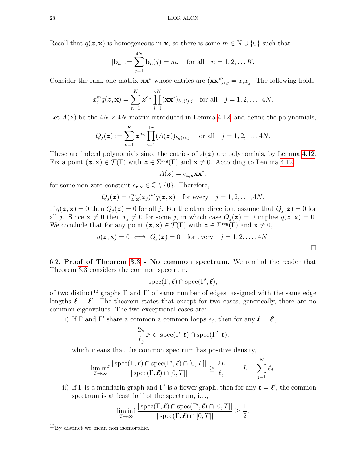Recall that  $q(z, x)$  is homogeneous in x, so there is some  $m \in \mathbb{N} \cup \{0\}$  such that

$$
|\mathbf{b}_n| := \sum_{j=1}^{4N} \mathbf{b}_n(j) = m
$$
, for all  $n = 1, 2, ... K$ .

Consider the rank one matrix  $\mathbf{x}\mathbf{x}^*$  whose entries are  $(\mathbf{x}\mathbf{x}^*)_{i,j} = x_i \overline{x}_j$ . The following holds

$$
\overline{x}_j^m q(\boldsymbol{z}, \mathbf{x}) = \sum_{n=1}^K \boldsymbol{z}^{a_n} \prod_{i=1}^{4N} (\mathbf{x} \mathbf{x}^*)_{b_n(i), j} \text{ for all } j = 1, 2, \ldots, 4N.
$$

Let  $A(z)$  be the  $4N \times 4N$  matrix introduced in Lemma [4.12,](#page-14-1) and define the polynomials,

$$
Q_j(\boldsymbol{z}) := \sum_{n=1}^K \boldsymbol{z}^{a_n} \prod_{i=1}^{4N} (A(\boldsymbol{z}))_{b_n(i),j} \text{ for all } j=1,2,\ldots,4N.
$$

These are indeed polynomials since the entries of  $A(z)$  are polynomials, by Lemma [4.12.](#page-14-1) Fix a point  $(z, x) \in \mathcal{T}(\Gamma)$  with  $z \in \Sigma^{\text{reg}}(\Gamma)$  and  $x \neq 0$ . According to Lemma [4.12,](#page-14-1)

$$
A(\boldsymbol{z}) = c_{\boldsymbol{z},\mathbf{x}} \mathbf{x} \mathbf{x}^*,
$$

for some non-zero constant  $c_{\mathbf{z},\mathbf{x}} \in \mathbb{C} \setminus \{0\}$ . Therefore,

$$
Q_j(\boldsymbol{z}) = c_{\boldsymbol{z},\mathbf{x}}^m(\overline{x_j})^m q(\boldsymbol{z},\mathbf{x}) \quad \text{for every} \quad j = 1,2,\ldots, 4N.
$$

If  $q(z, x) = 0$  then  $Q_j(z) = 0$  for all j. For the other direction, assume that  $Q_j(z) = 0$  for all j. Since  $\mathbf{x} \neq 0$  then  $x_j \neq 0$  for some j, in which case  $Q_j(z) = 0$  implies  $q(z, \mathbf{x}) = 0$ . We conclude that for any point  $(z, x) \in \mathcal{T}(\Gamma)$  with  $z \in \Sigma^{\text{reg}}(\Gamma)$  and  $x \neq 0$ ,

$$
q(\mathbf{z}, \mathbf{x}) = 0 \iff Q_j(\mathbf{z}) = 0
$$
 for every  $j = 1, 2, ..., 4N$ .

 $\Box$ 

6.2. Proof of Theorem [3.3](#page-7-1) - No common spectrum. We remind the reader that Theorem [3.3](#page-7-1) considers the common spectrum,

$$
\operatorname{spec}(\Gamma,\boldsymbol{\ell})\cap\operatorname{spec}(\Gamma',\boldsymbol{\ell}),
$$

of two distinct<sup>13</sup> graphs  $\Gamma$  and  $\Gamma'$  of same number of edges, assigned with the same edge lengths  $\ell = \ell'$ . The theorem states that except for two cases, generically, there are no common eigenvalues. The two exceptional cases are:

i) If  $\Gamma$  and  $\Gamma'$  share a common a common loops  $e_j$ , then for any  $\ell = \ell'$ ,

$$
\frac{2\pi}{\ell_j} \mathbb{N} \subset \text{spec}(\Gamma, \boldsymbol{\ell}) \cap \text{spec}(\Gamma', \boldsymbol{\ell}),
$$

which means that the common spectrum has positive density,

$$
\liminf_{T \to \infty} \frac{|\operatorname{spec}(\Gamma, \boldsymbol{\ell}) \cap \operatorname{spec}(\Gamma', \boldsymbol{\ell}) \cap [0, T]|}{|\operatorname{spec}(\Gamma, \boldsymbol{\ell}) \cap [0, T]|} \ge \frac{2L}{\ell_j}, \qquad L = \sum_{j=1}^N \ell_j.
$$

ii) If  $\Gamma$  is a mandarin graph and  $\Gamma'$  is a flower graph, then for any  $\ell = \ell'$ , the common spectrum is at least half of the spectrum, i.e.,

$$
\liminf_{T\to\infty}\frac{|\operatorname{spec}(\Gamma,\boldsymbol{\ell})\cap\operatorname{spec}(\Gamma',\boldsymbol{\ell})\cap[0,T]|}{|\operatorname{spec}(\Gamma,\boldsymbol{\ell})\cap[0,T]|}\geq\frac{1}{2}.
$$

<sup>13</sup>By distinct we mean non isomorphic.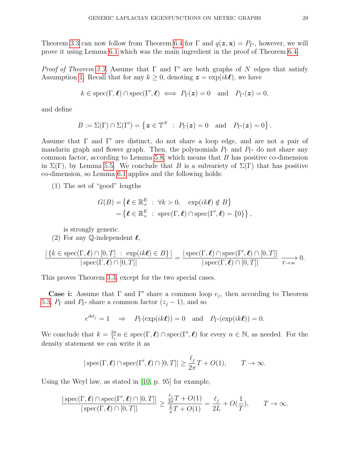Theorem [3.3](#page-7-1) can now follow from Theorem [6.4](#page-25-0) for  $\Gamma$  and  $q(z, x) = P_{\Gamma'}$ , however, we will prove it using Lemma [6.1](#page-23-0) which was the main ingredient in the proof of Theorem [6.4.](#page-25-0)

*Proof of Theorem [3.3.](#page-7-1)* Assume that  $\Gamma$  and  $\Gamma'$  are both graphs of N edges that satisfy Assumption [1.](#page-7-2) Recall that for any  $k \geq 0$ , denoting  $\boldsymbol{z} = \exp(ik\boldsymbol{\ell})$ , we have

$$
k \in \text{spec}(\Gamma, \ell) \cap \text{spec}(\Gamma', \ell) \iff P_{\Gamma}(z) = 0 \text{ and } P_{\Gamma'}(z) = 0,
$$

and define

$$
B := \Sigma(\Gamma) \cap \Sigma(\Gamma') = \left\{ \boldsymbol{z} \in \mathbb{T}^N \; : \; P_{\Gamma}(\boldsymbol{z}) = 0 \quad \text{and} \quad P_{\Gamma'}(\boldsymbol{z}) = 0 \right\}.
$$

Assume that  $\Gamma$  and  $\Gamma'$  are distinct, do not share a loop edge, and are not a pair of mandarin graph and flower graph. Then, the polynomials  $P_{\Gamma}$  and  $P_{\Gamma}$  do not share any common factor, according to Lemma [5.8,](#page-18-0) which means that  $B$  has positive co-dimension in  $\Sigma(\Gamma)$ , by Lemma [5.5.](#page-17-0) We conclude that B is a subvariety of  $\Sigma(\Gamma)$  that has positive co-dimension, so Lemma [6.1](#page-23-0) applies and the following holds:

(1) The set of "good" lengths

$$
G(B) = \{ \ell \in \mathbb{R}_+^E : \forall k > 0, \quad \exp(ik\ell) \notin B \}
$$
  
= 
$$
\{ \ell \in \mathbb{R}_+^E : \operatorname{spec}(\Gamma, \ell) \cap \operatorname{spec}(\Gamma', \ell) = \{0\} \},
$$

is strongly generic.

<span id="page-28-0"></span>(2) For any Q-independent  $\ell$ ,

$$
\frac{|\{k \in \text{spec}(\Gamma, \ell) \cap [0, T] : \exp(ik\ell) \in B\}|}{|\text{spec}(\Gamma, \ell) \cap [0, T]|} = \frac{|\text{spec}(\Gamma, \ell) \cap \text{spec}(\Gamma', \ell) \cap [0, T]|}{|\text{spec}(\Gamma, \ell) \cap [0, T]|} \xrightarrow[T \to \infty]{} 0.
$$

This proves Theorem [3.3,](#page-7-1) except for the two special cases.

Case i: Assume that  $\Gamma$  and  $\Gamma'$  share a common loop  $e_j$ , then according to Theorem [5.3,](#page-16-0)  $P_{\Gamma}$  and  $P_{\Gamma'}$  share a common factor  $(z_i - 1)$ , and so

$$
e^{ik\ell_j} = 1 \Rightarrow P_\Gamma(\exp(ik\ell)) = 0 \text{ and } P_{\Gamma'}(\exp(ik\ell)) = 0.
$$

We conclude that  $k = \frac{2\pi}{l}$  $\frac{2\pi}{\ell_j} n \in \text{spec}(\Gamma, \ell) \cap \text{spec}(\Gamma', \ell)$  for every  $n \in \mathbb{N}$ , as needed. For the density statement we can write it as

$$
|\operatorname{spec}(\Gamma,\boldsymbol{\ell}) \cap \operatorname{spec}(\Gamma',\boldsymbol{\ell}) \cap [0,T]| \ge \frac{\ell_j}{2\pi}T + O(1), \qquad T \to \infty.
$$

Using the Weyl law, as stated in [\[10,](#page-34-18) p. 95] for example,

$$
\frac{|\operatorname{spec}(\Gamma,\boldsymbol{\ell}) \cap \operatorname{spec}(\Gamma',\boldsymbol{\ell}) \cap [0,T]|}{|\operatorname{spec}(\Gamma,\boldsymbol{\ell}) \cap [0,T]|} \ge \frac{\frac{\ell_j}{2\pi}T + O(1)}{\frac{L}{\pi}T + O(1)} = \frac{\ell_j}{2L} + O(\frac{1}{T}), \qquad T \to \infty.
$$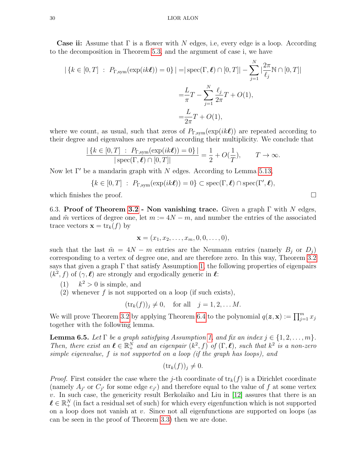**Case ii:** Assume that  $\Gamma$  is a flower with N edges, i.e, every edge is a loop. According to the decomposition in Theorem [5.3,](#page-16-0) and the argument of case i, we have

$$
|\{k \in [0, T] : P_{\Gamma, \text{sym}}(\exp(ik\ell)) = 0\}| = |\sec(\Gamma, \ell) \cap [0, T]| - \sum_{j=1}^{N} |\frac{2\pi}{\ell_j} \mathbb{N} \cap [0, T]|
$$
  

$$
= \frac{L}{\pi} T - \sum_{j=1}^{N} \frac{\ell_j}{2\pi} T + O(1),
$$
  

$$
= \frac{L}{2\pi} T + O(1),
$$

where we count, as usual, such that zeros of  $P_{\Gamma,\text{sym}}(\exp(ik\ell))$  are repeated according to their degree and eigenvalues are repeated according their multiplicity. We conclude that

$$
\frac{|\{k \in [0,T] : P_{\Gamma,\text{sym}}(\exp(ik\ell)) = 0\}|}{|\operatorname{spec}(\Gamma,\ell) \cap [0,T]|} = \frac{1}{2} + O(\frac{1}{T}), \qquad T \to \infty.
$$

Now let  $\Gamma'$  be a mandarin graph with N edges. According to Lemma [5.13,](#page-22-2)

$$
\{k \in [0, T] : P_{\Gamma, \text{sym}}(\exp(ik\ell)) = 0\} \subset \text{spec}(\Gamma, \ell) \cap \text{spec}(\Gamma', \ell),
$$

which finishes the proof.  $\Box$ 

6.3. Proof of Theorem [3.2](#page-7-0) - Non vanishing trace. Given a graph  $\Gamma$  with N edges, and  $\tilde{m}$  vertices of degree one, let  $m := 4N - m$ , and number the entries of the associated trace vectors  $\mathbf{x} = \text{tr}_k(f)$  by

$$
\mathbf{x}=(x_1,x_2,\ldots,x_m,0,0,\ldots,0),
$$

such that the last  $\tilde{m} = 4N - m$  entries are the Neumann entries (namely  $B_j$  or  $D_j$ ) corresponding to a vertex of degree one, and are therefore zero. In this way, Theorem [3.2](#page-7-0) says that given a graph  $\Gamma$  that satisfy Assumption [1,](#page-7-2) the following properties of eigenpairs  $(k^2, f)$  of  $(\gamma, \ell)$  are strongly and ergodically generic in  $\ell$ :

- $(1)$  $k^2 > 0$  is simple, and
- (2) whenever f is not supported on a loop (if such exists),

$$
(\text{tr}_k(f))_j \neq 0
$$
, for all  $j = 1, 2, \dots M$ .

We will prove Theorem [3.2](#page-7-0) by applying Theorem [6.4](#page-25-0) to the polynomial  $q(\mathbf{z}, \mathbf{x}) := \prod_{j=1}^{m} x_j$ together with the following lemma.

<span id="page-29-0"></span>**Lemma 6.5.** Let  $\Gamma$  be a graph satisfying Assumption [1,](#page-7-2) and fix an index  $j \in \{1, 2, \ldots, m\}$ . Then, there exist an  $\ell \in \mathbb{R}_+^N$  and an eigenpair  $(k^2, f)$  of  $(\Gamma, \ell)$ , such that  $k^2$  is a non-zero simple eigenvalue, f is not supported on a loop (if the graph has loops), and

$$
(\operatorname{tr}_k(f))_j \neq 0.
$$

*Proof.* First consider the case where the j-th coordinate of  $tr_k(f)$  is a Dirichlet coordinate (namely  $A_{j'}$  or  $C_{j'}$  for some edge  $e_{j'}$ ) and therefore equal to the value of f at some vertex  $v$ . In such case, the genericity result Berkolaiko and Liu in  $[12]$  assures that there is an  $\ell \in \mathbb{R}^N_+$  (in fact a residual set of such) for which every eigenfunction which is not supported on a loop does not vanish at v. Since not all eigenfunctions are supported on loops (as can be seen in the proof of Theorem [3.3\)](#page-7-1) then we are done.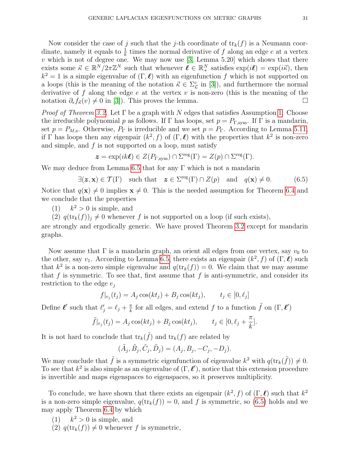Now consider the case of j such that the j-th coordinate of  $\text{tr}_k(f)$  is a Neumann coordinate, namely it equals to  $\frac{1}{k}$  times the normal derivative of f along an edge e at a vertex  $v$  which is not of degree one. We may now use [\[3,](#page-34-24) Lemma 5.20] which shows that there exists some  $\vec{\kappa} \in \mathbb{R}^N / 2\pi \mathbb{Z}^N$  such that whenever  $\vec{\ell} \in \mathbb{R}^N_+$  satisfies  $\exp(i\ell) = \exp(i\vec{\kappa})$ , then  $k^2 = 1$  is a simple eigenvalue of  $(\Gamma, \ell)$  with an eigenfunction f which is not supported on a loops (this is the meaning of the notation  $\vec{\kappa} \in \Sigma_{\mathcal{L}}^c$  in [\[3\]](#page-34-24)), and furthermore the normal derivative of f along the edge e at the vertex  $v$  is non-zero (this is the meaning of the notation  $\partial_{\epsilon}f_{\vec{\kappa}}(v) \neq 0$  in [\[3\]](#page-34-24)). This proves the lemma.

*Proof of Theorem [3.2.](#page-7-0)* Let  $\Gamma$  be a graph with N edges that satisfies Assumption [1.](#page-7-2) Choose the irreducible polynomial p as follows. If  $\Gamma$  has loops, set  $p = P_{\Gamma, sym}$ . If  $\Gamma$  is a mandarin, set  $p = P_{M,s}$ . Otherwise,  $P_{\Gamma}$  is irreducible and we set  $p = P_{\Gamma}$ . According to Lemma [5.11,](#page-19-2) if  $\Gamma$  has loops then any eigenpair  $(k^2, f)$  of  $(\Gamma, \ell)$  with the properties that  $k^2$  is non-zero and simple, and  $f$  is not supported on a loop, must satisfy

$$
\boldsymbol{z} = \exp(ik\boldsymbol{\ell}) \in Z(P_{\Gamma,\text{sym}}) \cap \Sigma^{\text{reg}}(\Gamma) = Z(p) \cap \Sigma^{\text{reg}}(\Gamma).
$$

We may deduce from Lemma [6.5](#page-29-0) that for any  $\Gamma$  which is not a mandarin

<span id="page-30-0"></span>
$$
\exists (\mathbf{z}, \mathbf{x}) \in \mathcal{T}(\Gamma) \quad \text{such that} \quad \mathbf{z} \in \Sigma^{\text{reg}}(\Gamma) \cap Z(p) \quad \text{and} \quad q(\mathbf{x}) \neq 0. \tag{6.5}
$$

Notice that  $q(\mathbf{x}) \neq 0$  implies  $\mathbf{x} \neq 0$ . This is the needed assumption for Theorem [6.4](#page-25-0) and we conclude that the properties

 $(1)$  $k^2 > 0$  is simple, and

(2)  $q(\text{tr}_k(f))_i \neq 0$  whenever f is not supported on a loop (if such exists),

are strongly and ergodically generic. We have proved Theorem [3.2](#page-7-0) except for mandarin graphs.

Now assume that  $\Gamma$  is a mandarin graph, an orient all edges from one vertex, say  $v_0$  to the other, say  $v_1$ . According to Lemma [6.5,](#page-29-0) there exists an eigenpair  $(k^2, f)$  of  $(\Gamma, \ell)$  such that  $k^2$  is a non-zero simple eigenvalue and  $q(\text{tr}_k(f)) = 0$ . We claim that we may assume that f is symmetric. To see that, first assume that f is anti-symmetric, and consider its restriction to the edge  $e_i$ 

$$
f|_{e_j}(t_j) = A_j \cos(kt_j) + B_j \cos(kt_j), \qquad t_j \in [0, \ell_j]
$$

Define  $\ell'$  such that  $\ell'_j = \ell_j + \frac{\pi}{k}$  $\frac{\pi}{k}$  for all edges, and extend f to a function  $\tilde{f}$  on  $(\Gamma, \ell')$ 

$$
\tilde{f}|_{e_j}(t_j) = A_j \cos(kt_j) + B_j \cos(kt_j), \qquad t_j \in [0, \ell_j + \frac{\pi}{k}].
$$

It is not hard to conclude that  $\text{tr}_k(\tilde{f})$  and  $\text{tr}_k(f)$  are related by

$$
(\tilde{A}_j, \tilde{B}_j, \tilde{C}_j, \tilde{D}_j) = (A_j, B_j, -C_j, -D_j).
$$

We may conclude that  $\tilde{f}$  is a symmetric eigenfunction of eigenvalue  $k^2$  with  $q(\text{tr}_k(\tilde{f})) \neq 0$ . To see that  $k^2$  is also simple as an eigenvalue of  $(\Gamma, \ell')$ , notice that this extension procedure is invertible and maps eigenspaces to eigenspaces, so it preserves multiplicity.

To conclude, we have shown that there exists an eigenpair  $(k^2, f)$  of  $(\Gamma, \ell)$  such that  $k^2$ is a non-zero simple eigenvalue,  $q(\text{tr}_k(f)) = 0$ , and f is symmetric, so [\(6.5\)](#page-30-0) holds and we may apply Theorem [6.4](#page-25-0) by which

- $(1)$  $k^2 > 0$  is simple, and
- (2)  $q(\text{tr}_k(f)) \neq 0$  whenever f is symmetric,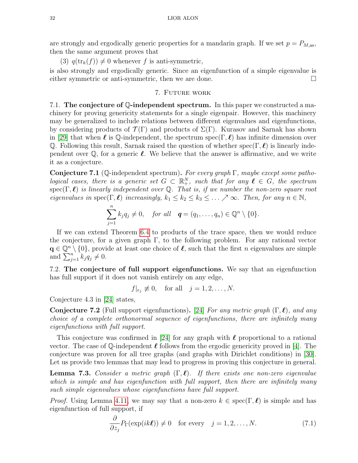are strongly and ergodically generic properties for a mandarin graph. If we set  $p = P_{M,as}$ , then the same argument proves that

(3)  $q(\text{tr}_k(f)) \neq 0$  whenever f is anti-symmetric,

is also strongly and ergodically generic. Since an eigenfunction of a simple eigenvalue is either symmetric or anti-symmetric, then we are done.

# 7. Future work

<span id="page-31-4"></span>7.1. The conjecture of Q-independent spectrum. In this paper we constructed a machinery for proving genericity statements for a single eigenpair. However, this machinery may be generalized to include relations between different eigenvalues and eigenfunctions, by considering products of  $\mathcal{T}(\Gamma)$  and products of  $\Sigma(\Gamma)$ . Kurasov and Sarnak has shown in [\[29\]](#page-35-2) that when  $\ell$  is Q-independent, the spectrum spec(Γ,  $\ell$ ) has infinite dimension over Q. Following this result, Sarnak raised the question of whether spec( $\Gamma, \ell$ ) is linearly independent over  $\mathbb Q$ , for a generic  $\ell$ . We believe that the answer is affirmative, and we write it as a conjecture.

Conjecture 7.1 (Q-independent spectrum). For every graph  $\Gamma$ , maybe except some pathological cases, there is a generic set  $G \subset \mathbb{R}^N_+$ , such that for any  $\ell \in G$ , the spectrum spec( $\Gamma$ ,  $\ell$ ) is linearly independent over Q. That is, if we number the non-zero square root eigenvalues in  $spec(\Gamma, \ell)$  increasingly,  $k_1 \leq k_2 \leq k_3 \leq \ldots \nearrow \infty$ . Then, for any  $n \in \mathbb{N}$ ,

$$
\sum_{j=1}^n k_j q_j \neq 0, \quad \text{for all} \quad \boldsymbol{q} = (q_1, \ldots, q_n) \in \mathbb{Q}^n \setminus \{0\}.
$$

If we can extend Theorem [6.4](#page-25-0) to products of the trace space, then we would reduce the conjecture, for a given graph  $\Gamma$ , to the following problem. For any rational vector  $\mathbf{q} \in \mathbb{Q}^n \setminus \{0\}$ , provide at least one choice of  $\ell$ , such that the first n eigenvalues are simple and  $\sum_{j=1}^{n} k_j q_j \neq 0$ .

<span id="page-31-3"></span>7.2. The conjecture of full support eigenfunctions. We say that an eigenfunction has full support if it does not vanish entirely on any edge,

 $f|_{e_j} \not\equiv 0$ , for all  $j = 1, 2, \ldots, N$ .

Conjecture 4.3 in [\[24\]](#page-34-25) states,

<span id="page-31-2"></span>**Conjecture 7.2** (Full support eigenfunctions). [\[24\]](#page-34-25) For any metric graph  $(\Gamma, \ell)$ , and any choice of a complete orthonormal sequence of eigenfunctions, there are infinitely many eigenfunctions with full support.

This conjecture was confirmed in [\[24\]](#page-34-25) for any graph with  $\ell$  proportional to a rational vector. The case of  $\mathbb Q$ -independent  $\ell$  follows from the ergodic genericity proved in [\[4\]](#page-34-11). The conjecture was proven for all tree graphs (and graphs with Dirichlet conditions) in [\[30\]](#page-35-4). Let us provide two lemmas that may lead to progress in proving this conjecture in general.

<span id="page-31-1"></span>**Lemma 7.3.** Consider a metric graph  $(\Gamma, \ell)$ . If there exists one non-zero eigenvalue which is simple and has eigenfunction with full support, then there are infinitely many such simple eigenvalues whose eigenfunctions have full support.

*Proof.* Using Lemma [4.11,](#page-14-0) we may say that a non-zero  $k \in \text{spec}(\Gamma, \ell)$  is simple and has eigenfunction of full support, if

<span id="page-31-0"></span>
$$
\frac{\partial}{\partial z_j} P_{\Gamma}(\exp(ik\ell)) \neq 0 \quad \text{for every} \quad j = 1, 2, \dots, N. \tag{7.1}
$$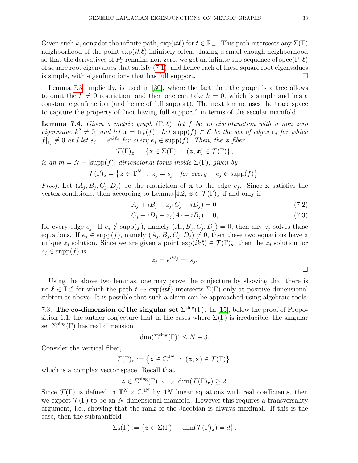Given such k, consider the infinite path,  $\exp(it\ell)$  for  $t \in \mathbb{R}_+$ . This path intersects any  $\Sigma(\Gamma)$ neighborhood of the point  $\exp(ik\ell)$  infinitely often. Taking a small enough neighborhood so that the derivatives of  $P_{\Gamma}$  remains non-zero, we get an infinite sub-sequence of spec( $\Gamma, \ell$ ) of square root eigenvalues that satisfy [\(7.1\)](#page-31-0), and hence each of these square root eigenvalues is simple, with eigenfunctions that has full support.  $\Box$ 

Lemma [7.3,](#page-31-1) implicitly, is used in [\[30\]](#page-35-4), where the fact that the graph is a tree allows to omit the  $k \neq 0$  restriction, and then one can take  $k = 0$ , which is simple and has a constant eigenfunction (and hence of full support). The next lemma uses the trace space to capture the property of "not having full support" in terms of the secular manifold.

**Lemma 7.4.** Given a metric graph  $(\Gamma, \ell)$ , let f be an eigenfunction with a non zero eigenvalue  $k^2 \neq 0$ , and let  $\mathbf{x} = \text{tr}_k(f)$ . Let  $\text{supp}(f) \subset \mathcal{E}$  be the set of edges  $e_j$  for which  $f|_{e_j} \not\equiv 0$  and let  $s_j := e^{ik\ell_j}$  for every  $e_j \in \text{supp}(f)$ . Then, the z fiber

$$
\mathcal{T}(\Gamma)_x := \{ \boldsymbol{z} \in \Sigma(\Gamma) \ : \ (\boldsymbol{z}, \boldsymbol{x}) \in \mathcal{T}(\Gamma) \},
$$

is an  $m = N - |\text{supp}(f)|$  dimensional torus inside  $\Sigma(\Gamma)$ , given by

$$
\mathcal{T}(\Gamma)_x = \left\{ \boldsymbol{z} \in \mathbb{T}^N \ : \ z_j = s_j \quad \text{for every} \quad e_j \in \text{supp}(f) \right\}.
$$

*Proof.* Let  $(A_j, B_j, C_j, D_j)$  be the restriction of **x** to the edge  $e_j$ . Since **x** satisfies the vertex conditions, then according to Lemma [4.2,](#page-9-0)  $\boldsymbol{z} \in \mathcal{T}(\Gamma)_{\mathbf{x}}$  if and only if

$$
A_j + iB_j - z_j(C_j - iD_j) = 0 \t\t(7.2)
$$

$$
C_j + iD_j - z_j(A_j - iB_j) = 0,\t(7.3)
$$

for every edge  $e_j$ . If  $e_j \notin \text{supp}(f)$ , namely  $(A_j, B_j, C_j, D_j) = 0$ , then any  $z_j$  solves these equations. If  $e_j \in \text{supp}(f)$ , namely  $(A_j, B_j, C_j, D_j) \neq 0$ , then these two equations have a unique  $z_j$  solution. Since we are given a point  $\exp(ik\ell) \in \mathcal{T}(\Gamma)_x$ , then the  $z_j$  solution for  $e_i \in \text{supp}(f)$  is

$$
z_j = e^{ik\ell_j} =: s_j.
$$

Using the above two lemmas, one may prove the conjecture by showing that there is no  $\ell \in \mathbb{R}_+^N$  for which the path  $t \mapsto \exp(it\ell)$  intersects  $\Sigma(\Gamma)$  only at positive dimensional subtori as above. It is possible that such a claim can be approached using algebraic tools.

<span id="page-32-0"></span>7.3. The co-dimension of the singular set  $\Sigma^{\text{sing}}(\Gamma)$ . In [\[15\]](#page-34-13), below the proof of Proposition 1.1, the author conjecture that in the cases where  $\Sigma(\Gamma)$  is irreducible, the singular set  $\Sigma^{\text{sing}}(\Gamma)$  has real dimension

$$
\dim(\Sigma^{\text{sing}}(\Gamma)) \leq N - 3.
$$

Consider the vertical fiber,

$$
\mathcal{T}(\Gamma)_{\boldsymbol{z}} := \left\{ \mathbf{x} \in \mathbb{C}^{4N} \ : \ (\boldsymbol{z}, \mathbf{x}) \in \mathcal{T}(\Gamma) \right\},
$$

which is a complex vector space. Recall that

$$
\boldsymbol{z} \in \Sigma^{\text{sing}}(\Gamma) \iff \dim(\mathcal{T}(\Gamma)_{\boldsymbol{z}}) \geq 2.
$$

Since  $\mathcal{T}(\Gamma)$  is defined in  $\mathbb{T}^N \times \mathbb{C}^{4N}$  by 4N linear equations with real coefficients, then we expect  $\mathcal{T}(\Gamma)$  to be an N dimensional manifold. However this requires a transversality argument, i.e., showing that the rank of the Jacobian is always maximal. If this is the case, then the submanifold

$$
\Sigma_d(\Gamma) := \{ \boldsymbol{z} \in \Sigma(\Gamma) \; : \; \dim(\mathcal{T}(\Gamma)_{\boldsymbol{z}}) = d \},
$$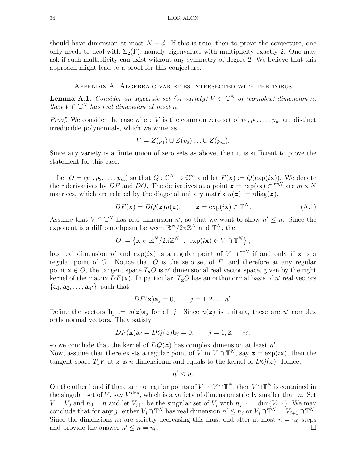should have dimension at most  $N - d$ . If this is true, then to prove the conjecture, one only needs to deal with  $\Sigma_2(\Gamma)$ , namely eigenvalues with multiplicity exactly 2. One may ask if such multiplicity can exist without any symmetry of degree 2. We believe that this approach might lead to a proof for this conjecture.

# Appendix A. Algebraic varieties intersected with the torus

<span id="page-33-0"></span>**Lemma A.1.** Consider an algebraic set (or variety)  $V \subset \mathbb{C}^N$  of (complex) dimension n, then  $V \cap \mathbb{T}^N$  has real dimension at most n.

*Proof.* We consider the case where V is the common zero set of  $p_1, p_2, \ldots, p_m$  are distinct irreducible polynomials, which we write as

$$
V = Z(p_1) \cup Z(p_2) \dots \cup Z(p_m).
$$

Since any variety is a finite union of zero sets as above, then it is sufficient to prove the statement for this case.

Let  $Q = (p_1, p_2, \ldots, p_m)$  so that  $Q: \mathbb{C}^N \to \mathbb{C}^m$  and let  $F(\mathbf{x}) := Q(\exp(i\mathbf{x}))$ . We denote their derivatives by DF and DQ. The derivatives at a point  $\mathbf{z} = \exp(i\mathbf{x}) \in \mathbb{T}^N$  are  $m \times N$ matrices, which are related by the diagonal unitary matrix  $u(z) := i \text{diag}(z)$ ,

$$
DF(\mathbf{x}) = DQ(\mathbf{z})u(\mathbf{z}), \qquad \mathbf{z} = \exp(i\mathbf{x}) \in \mathbb{T}^{N}.
$$
 (A.1)

Assume that  $V \cap \mathbb{T}^N$  has real dimension  $n'$ , so that we want to show  $n' \leq n$ . Since the exponent is a diffeomorhpism between  $\mathbb{R}^N/2\pi\mathbb{Z}^N$  and  $\mathbb{T}^N$ , then

$$
O := \left\{ \mathbf{x} \in \mathbb{R}^N / 2\pi \mathbb{Z}^N \ : \ \exp(i\mathbf{x}) \in V \cap \mathbb{T}^N \right\},\
$$

has real dimension n' and exp(ix) is a regular point of  $V \cap \mathbb{T}^N$  if and only if x is a regular point of  $O$ . Notice that  $O$  is the zero set of  $F$ , and therefore at any regular point  $\mathbf{x} \in O$ , the tangent space  $T_{\mathbf{x}}O$  is n' dimensional real vector space, given by the right kernel of the matrix  $DF(\mathbf{x})$ . In particular,  $T_{\mathbf{x}}O$  has an orthonormal basis of n' real vectors  $\{a_1, a_2, \ldots, a_{n'}\}$ , such that

$$
DF(\mathbf{x})\mathbf{a}_j = 0, \qquad j = 1, 2, \dots n'.
$$

Define the vectors  $\mathbf{b}_j := u(\mathbf{z})\mathbf{a}_j$  for all j. Since  $u(\mathbf{z})$  is unitary, these are n' complex orthonormal vectors. They satisfy

$$
DF(\mathbf{x})\mathbf{a}_j = DQ(\mathbf{z})\mathbf{b}_j = 0, \qquad j = 1, 2, \dots n',
$$

so we conclude that the kernel of  $DQ(z)$  has complex dimension at least n'. Now, assume that there exists a regular point of V in  $V \cap \mathbb{T}^N$ , say  $\boldsymbol{z} = \exp(i\boldsymbol{x})$ , then the tangent space  $T_zV$  at  $\boldsymbol{z}$  is n dimensional and equals to the kernel of  $DQ(\boldsymbol{z})$ . Hence,

$$
n' \leq n.
$$

On the other hand if there are no regular points of V in  $V \cap \mathbb{T}^N$ , then  $V \cap \mathbb{T}^N$  is contained in the singular set of  $V$ , say  $V^{\text{sing}}$ , which is a variety of dimension strictly smaller than n. Set  $V = V_0$  and  $n_0 = n$  and let  $V_{j+1}$  be the singular set of  $V_j$  with  $n_{j+1} = \dim(V_{j+1})$ . We may conclude that for any j, either  $V_j \cap \mathbb{T}^N$  has real dimension  $n' \leq n_j$  or  $V_j \cap \mathbb{T}^N = V_{j+1} \cap \mathbb{T}^N$ . Since the dimensions  $n_i$  are strictly decreasing this must end after at most  $n = n_0$  steps and provide the answer  $n' \leq n = n_0$ .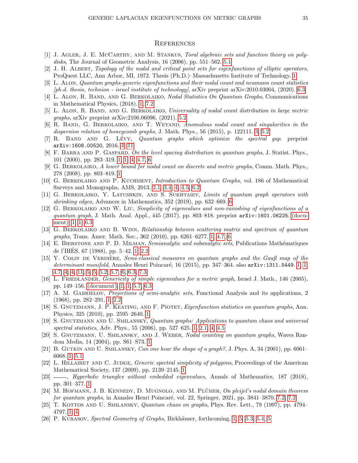#### **REFERENCES**

- <span id="page-34-22"></span>[1] J. AGLER, J. E. MCCARTHY, AND M. STANKUS, Toral algebraic sets and function theory on polydisks, The Journal of Geometric Analysis, 16 (2006), pp. 551–562. [5.1](#page-17-2)
- <span id="page-34-2"></span>[2] J. H. Albert, Topology of the nodal and critical point sets for eigenfunctions of elliptic operators, ProQuest LLC, Ann Arbor, MI, 1972. Thesis (Ph.D.)–Massachusetts Institute of Technology. [1](#page-0-0)
- <span id="page-34-24"></span>[3] L. ALON, Quantum graphs-generic eigenfunctions and their nodal count and neumann count statistics [ph.d. thesis, technion - israel institute of technology], arXiv preprint arXiv:2010.03004, (2020). [6.3](#page-29-0)
- <span id="page-34-11"></span>[4] L. ALON, R. BAND, AND G. BERKOLAIKO, Nodal Statistics On Quantum Graphs, Communications in Mathematical Physics, (2018). [1,](#page-1-0) [7.2](#page-31-2)
- <span id="page-34-23"></span>[5] L. Alon, R. Band, and G. Berkolaiko, Universality of nodal count distribution in large metric graphs, arXiv preprint arXiv:2106.06096, (2021). [5.2](#page-22-0)
- <span id="page-34-20"></span>[6] R. BAND, G. BERKOLAIKO, AND T. WEYAND, Anomalous nodal count and singularities in the dispersion relation of honeycomb graphs, J. Math. Phys., 56 (2015), p. 122111. [3,](#page-8-1) [5.2](#page-20-0)
- <span id="page-34-21"></span>[7] R. BAND AND G. LÉVY, Quantum graphs which optimize the spectral gap. preprint arXiv:1608.00520, 2016. [4, 11](#page-14-0)
- <span id="page-34-10"></span>[8] F. BARRA AND P. GASPARD, On the level spacing distribution in quantum graphs, J. Statist. Phys., 101 (2000), pp. 283–319. [1,](#page-1-1) [1,](#page-1-0) [4,](#page-11-2) [4.7,](#page-12-0) [6](#page-23-5)
- <span id="page-34-4"></span>[9] G. Berkolaiko, A lower bound for nodal count on discrete and metric graphs, Comm. Math. Phys., 278 (2008), pp. 803–819. [1](#page-0-0)
- <span id="page-34-18"></span>[10] G. Berkolaiko and P. Kuchment, Introduction to Quantum Graphs, vol. 186 of Mathematical Surveys and Monographs, AMS, 2013. [2.1,](#page-4-0) [3.4,](#page-8-2) [4,](#page-11-0) [4.5,](#page-11-3) [6.2](#page-28-0)
- <span id="page-34-19"></span>[11] G. Berkolaiko, Y. Latushkin, and S. Sukhtaiev, Limits of quantum graph operators with shrinking edges, Advances in Mathematics, 352 (2019), pp. 632–669. [6](#page-3-0)
- <span id="page-34-1"></span>[12] G. BERKOLAIKO AND W. LIU, Simplicity of eigenvalues and non-vanishing of eigenfunctions of a quantum graph, J. Math. Anal. Appl., 445 (2017), pp. 803–818. preprint arXiv:1601.06225. [\(docu](#page-0-1)[ment\),](#page-0-1) [1,](#page-0-0) [1,](#page-1-0) [6.3](#page-29-0)
- <span id="page-34-12"></span>[13] G. Berkolaiko and B. Winn, Relationship between scattering matrix and spectrum of quantum graphs, Trans. Amer. Math. Soc., 362 (2010), pp. 6261–6277. [1,](#page-1-0) [4.7,](#page-12-0) [6](#page-23-5)
- <span id="page-34-6"></span>[14] E. BIERSTONE AND P. D. MILMAN, Semianalytic and subanalytic sets, Publications Mathématiques de l'IHES, 67 (1988), pp. 5–42. [1,](#page-0-0) [2.2](#page-6-1) ´
- <span id="page-34-13"></span>[15] Y. COLIN DE VERDIÈRE, Semi-classical measures on quantum graphs and the Gauß map of the determinant manifold, Annales Henri Poincaré, 16 (2015), pp. 347–364. also  $arXiv:1311.5449. 1, 1,$  $arXiv:1311.5449. 1, 1,$  $arXiv:1311.5449. 1, 1,$ [4.7, 4,](#page-12-0) [4, 11,](#page-14-0) [5,](#page-15-0) [5,](#page-15-1) [5.2,](#page-15-2) [5.7,](#page-18-1) [6,](#page-23-5) [6.3,](#page-25-1) [7.3](#page-32-0)
- <span id="page-34-0"></span>[16] L. FRIEDLANDER, *Genericity of simple eigenvalues for a metric graph*, Israel J. Math., 146 (2005), pp. 149–156. [\(document\),](#page-0-1) [1,](#page-0-0) [1,](#page-1-0) [5.7,](#page-18-1) [6.3](#page-25-1)
- <span id="page-34-5"></span>[17] A. M. GABRIELOV, *Projections of semi-analytic sets*, Functional Analysis and its applications, 2 (1968), pp. 282–291. [1,](#page-0-0) [2.2](#page-6-1)
- <span id="page-34-14"></span>[18] S. Gnutzmann, J. P. Keating, and F. Piotet, Eigenfunction statistics on quantum graphs, Ann. Physics, 325 (2010), pp. 2595–2640. [1](#page-1-0)
- <span id="page-34-15"></span>[19] S. Gnutzmann and U. Smilansky, Quantum graphs: Applications to quantum chaos and universal spectral statistics, Adv. Phys., 55 (2006), pp. 527–625. [1,](#page-1-0) [2.1,](#page-4-0) [4,](#page-11-0) [4.5](#page-11-3)
- <span id="page-34-3"></span>[20] S. GNUTZMANN, U. SMILANSKY, AND J. WEBER, Nodal counting on quantum graphs, Waves Random Media, 14 (2004), pp. S61–S73. [1](#page-0-0)
- <span id="page-34-16"></span>[21] B. GUTKIN AND U. SMILANSKY, Can one hear the shape of a graph?, J. Phys. A, 34 (2001), pp. 6061– 6068. [1,](#page-2-0) [5.1](#page-18-2)
- <span id="page-34-7"></span>[22] L. HILLAIRET AND C. JUDGE, Generic spectral simplicity of polygons, Proceedings of the American Mathematical Society, 137 (2009), pp. 2139–2145. [1](#page-1-1)
- <span id="page-34-8"></span>[23] — Hyperbolic triangles without embedded eigenvalues, Annals of Mathematics, 187 (2018), pp. 301–377. [1](#page-1-1)
- <span id="page-34-25"></span> $[24]$  M. HOFMANN, J. B. KENNEDY, D. MUGNOLO, AND M. PLUMER, On pleijel's nodal domain theorem for quantum graphs, in Annales Henri Poincaré, vol. 22, Springer, 2021, pp. 3841–3870. [7.2,](#page-31-3) [7.2](#page-31-2)
- <span id="page-34-9"></span>[25] T. KOTTOS AND U. SMILANSKY, *Quantum chaos on graphs*, Phys. Rev. Lett., 79 (1997), pp. 4794– 4797. [1,](#page-1-1) [4](#page-11-2)
- <span id="page-34-17"></span>[26] P. KURASOV, Spectral Geometry of Graphs, Birkhäuser, forthcoming. [1,](#page-2-0) [5,](#page-15-0) [5.3,](#page-16-0) [5.4, 5](#page-16-1)